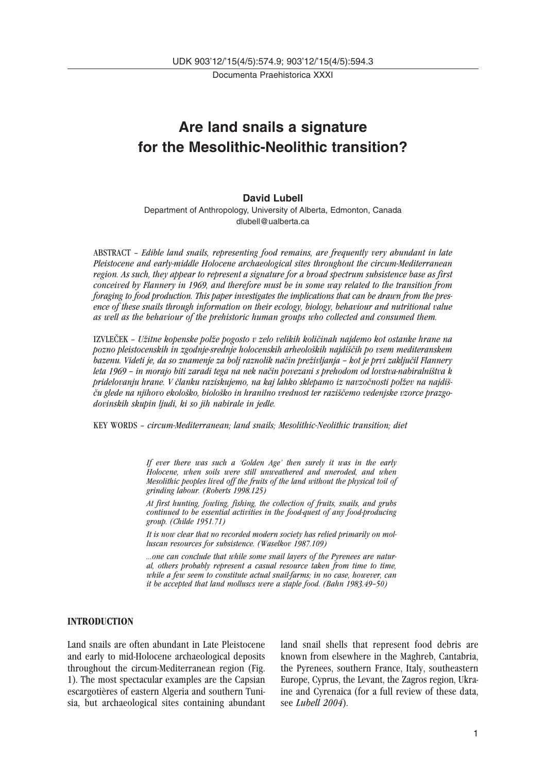Documenta Praehistorica XXXI

# **Are land snails a signature for the Mesolithic-Neolithic transition?**

#### **David Lubell**

Department of Anthropology, University of Alberta, Edmonton, Canada dlubell@ualberta.ca

ABSTRACT – *Edible land snails, representing food remains, are frequently very abundant in late Pleistocene and early-middle Holocene archaeological sites throughout the circum-Mediterranean region. As such, they appear to represent a signature for a broad spectrum subsistence base as first conceived by Flannery in 1969, and therefore must be in some way related to the transition from foraging to food production. This paper investigates the implications that can be drawn from the presence of these snails through information on their ecology, biology, behaviour and nutritional value as well as the behaviour of the prehistoric human groups who collected and consumed them.*

IZVLE∞EK – *U∫itne kopenske pol∫e pogosto v zelo velikih koli≠inah najdemo kot ostanke hrane na pozno pleistocenskih in zgodnje-srednje holocenskih arheolo∏kih najdi∏≠ih po vsem mediteranskem bazenu. Videti je, da so znamenje za bolj raznolik na≠in pre∫ivljanja – kot je prvi zaklju≠il Flannery* leta 1969 – in morajo biti zaradi tega na nek način povezani s prehodom od lovstva-nabiralništva k pridelovanju hrane. V članku raziskujemo, na kaj lahko sklepamo iz navzočnosti polžev na najdiš-*≠u glede na njihovo ekolo∏ko, biolo∏ko in hranilno vrednost ter razi∏≠emo vedenjske vzorce prazgodovinskih skupin ljudi, ki so jih nabirale in jedle.*

KEY WORDS – *circum-Mediterranean; land snails; Mesolithic-Neolithic transition; diet*

*If ever there was such a 'Golden Age' then surely it was in the early Holocene, when soils were still unweathered and uneroded, and when Mesolithic peoples lived off the fruits of the land without the physical toil of grinding labour. (Roberts 1998.125)*

*At first hunting, fowling, fishing, the collection of fruits, snails, and grubs continued to be essential activities in the food-quest of any food-producing group. (Childe 1951.71)*

*It is now clear that no recorded modern society has relied primarily on molluscan resources for subsistence. (Waselkov 1987.109)*

*...one can conclude that while some snail layers of the Pyrenees are natural, others probably represent a casual resource taken from time to time, while a few seem to constitute actual snail-farms; in no case, however, can it be accepted that land molluscs were a staple food. (Bahn 1983.49–50)*

# **INTRODUCTION**

Land snails are often abundant in Late Pleistocene and early to mid-Holocene archaeological deposits throughout the circum-Mediterranean region (Fig. 1). The most spectacular examples are the Capsian escargotières of eastern Algeria and southern Tunisia, but archaeological sites containing abundant land snail shells that represent food debris are known from elsewhere in the Maghreb, Cantabria, the Pyrenees, southern France, Italy, southeastern Europe, Cyprus, the Levant, the Zagros region, Ukraine and Cyrenaica (for a full review of these data, see *Lubell 2004*).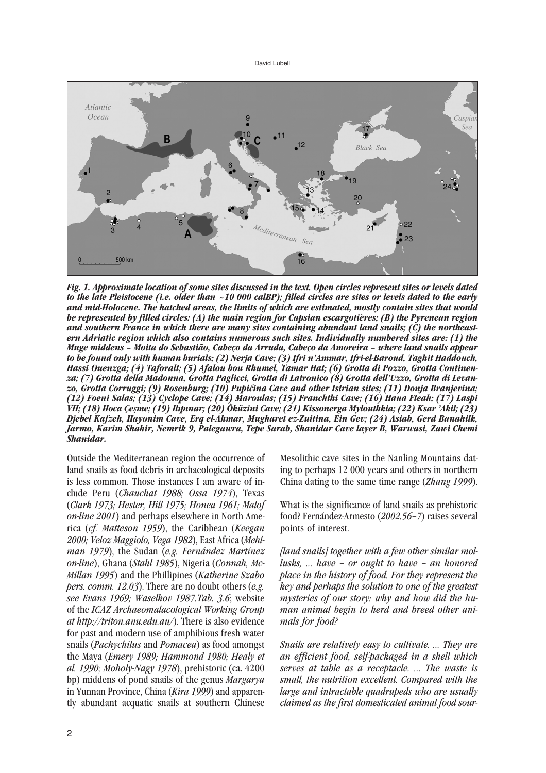

*Fig. 1. Approximate location of some sites discussed in the text. Open circles represent sites or levels dated to the late Pleistocene (i.e. older than ~10 000 calBP); filled circles are sites or levels dated to the early and mid-Holocene. The hatched areas, the limits of which are estimated, mostly contain sites that would be represented by filled circles: (A) the main region for Capsian escargotières; (B) the Pyrenean region and southern France in which there are many sites containing abundant land snails; (C) the northeastern Adriatic region which also contains numerous such sites. Individually numbered sites are: (1) the Muge middens – Moita do Sebastião, Cabeço da Arruda, Cabeço da Amoreira – where land snails appear to be found only with human burials; (2) Nerja Cave; (3) Ifri n'Ammar, Ifri-el-Baroud, Taghit Haddouch, Hassi Ouenzga; (4) Taforalt; (5) Afalou bou Rhumel, Tamar Hat; (6) Grotta di Pozzo, Grotta Continenza; (7) Grotta della Madonna, Grotta Paglicci, Grotta di Latronico (8) Grotta dell'Uzzo, Grotta di Levanzo, Grotta Corruggi; (9) Rosenburg; (10) Pupi≤ina Cave and other Istrian sites; (11) Donja Branjevina; (12) Foeni Salas; (13) Cyclope Cave; (14) Maroulas; (15) Franchthi Cave; (16) Haua Fteah; (17) Laspi VII; (18) Hoca Çesme; (19) Ilıpınar; (20) Öküzini Cave; (21) Kissonerga Mylouthkia; (22) Ksar 'Akil; (23) Djebel Kafzeh, Hayonim Cave, Erq el-Ahmar, Mugharet ez-Zuitina, Ein Gev; (24) Asiab, Gerd Banahilk, Jarmo, Karim Shahir, Nemrik 9, Palegawra, Tepe Sarab, Shanidar Cave layer B, Warwasi, Zawi Chemi Shanidar.*

Outside the Mediterranean region the occurrence of land snails as food debris in archaeological deposits is less common. Those instances I am aware of include Peru (*Chauchat 1988; Ossa 1974*), Texas (*Clark 1973; Hester, Hill 1975; Honea 1961; Malof on-line 2001*) and perhaps elsewhere in North America (*cf. Matteson 1959*), the Caribbean (*Keegan 2000; Veloz Maggiolo, Vega 1982*), East Africa (*Mehlman 1979*), the Sudan (*e.g. Fernández Martínez on-line*), Ghana (*Stahl 1985*), Nigeria (*Connah, Mc-Millan 1995*) and the Phillipines (*Katherine Szabo pers. comm. 12.03*). There are no doubt others (*e.g. see Evans 1969; Waselkov 1987.Tab. 3.6*; website of the *ICAZ Archaeomalacological Working Group at http://triton.anu.edu.au/*). There is also evidence for past and modern use of amphibious fresh water snails (*Pachychilus* and *Pomacea*) as food amongst the Maya (*Emery 1989; Hammond 1980; Healy et al. 1990; Moholy-Nagy 1978*), prehistoric (ca. 4200 bp) middens of pond snails of the genus *Margarya* in Yunnan Province, China (*Kira 1999*) and apparently abundant acquatic snails at southern Chinese

Mesolithic cave sites in the Nanling Mountains dating to perhaps 12 000 years and others in northern China dating to the same time range (*Zhang 1999*).

What is the significance of land snails as prehistoric food? Fernández-Armesto (*2002.56–7*) raises several points of interest.

*[land snails] together with a few other similar mollusks, ... have – or ought to have – an honored place in the history of food. For they represent the key and perhaps the solution to one of the greatest mysteries of our story: why and how did the human animal begin to herd and breed other animals for food?*

*Snails are relatively easy to cultivate. ... They are an efficient food, self-packaged in a shell which serves at table as a receptacle. ... The waste is small, the nutrition excellent. Compared with the large and intractable quadrupeds who are usually claimed as the first domesticated animal food sour-*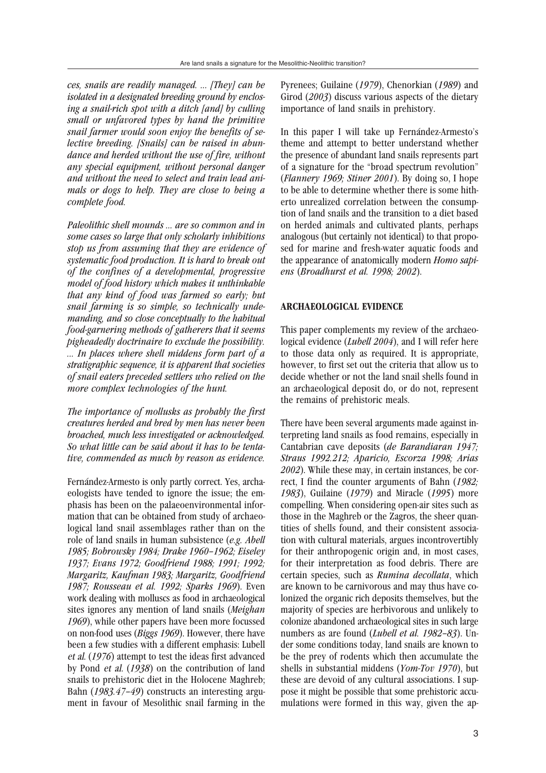*ces, snails are readily managed. ... [They] can be isolated in a designated breeding ground by enclosing a snail-rich spot with a ditch [and] by culling small or unfavored types by hand the primitive snail farmer would soon enjoy the benefits of selective breeding. [Snails] can be raised in abundance and herded without the use of fire, without any special equipment, without personal danger and without the need to select and train lead animals or dogs to help. They are close to being a complete food.*

*Paleolithic shell mounds ... are so common and in some cases so large that only scholarly inhibitions stop us from assuming that they are evidence of systematic food production. It is hard to break out of the confines of a developmental, progressive model of food history which makes it unthinkable that any kind of food was farmed so early; but snail farming is so simple, so technically undemanding, and so close conceptually to the habitual food-garnering methods of gatherers that it seems pigheadedly doctrinaire to exclude the possibility. ... In places where shell middens form part of a stratigraphic sequence, it is apparent that societies of snail eaters preceded settlers who relied on the more complex technologies of the hunt.*

*The importance of mollusks as probably the first creatures herded and bred by men has never been broached, much less investigated or acknowledged. So what little can be said about it has to be tentative, commended as much by reason as evidence.*

Fernández-Armesto is only partly correct. Yes, archaeologists have tended to ignore the issue; the emphasis has been on the palaeoenvironmental information that can be obtained from study of archaeological land snail assemblages rather than on the role of land snails in human subsistence (*e.g. Abell 1985; Bobrowsky 1984; Drake 1960–1962; Eiseley 1937; Evans 1972; Goodfriend 1988; 1991; 1992; Margaritz, Kaufman 1983; Margaritz, Goodfriend 1987; Rousseau et al. 1992; Sparks 1969*). Even work dealing with molluscs as food in archaeological sites ignores any mention of land snails (*Meighan 1969*), while other papers have been more focussed on non-food uses (*Biggs 1969*). However, there have been a few studies with a different emphasis: Lubell et al. (*1976*) attempt to test the ideas first advanced by Pond et al. (*1938*) on the contribution of land snails to prehistoric diet in the Holocene Maghreb; Bahn (*1983.47–49*) constructs an interesting argument in favour of Mesolithic snail farming in the Pyrenees; Guilaine (*1979*), Chenorkian (*1989*) and Girod (*2003*) discuss various aspects of the dietary importance of land snails in prehistory.

In this paper I will take up Fernández-Armesto's theme and attempt to better understand whether the presence of abundant land snails represents part of a signature for the "broad spectrum revolution" (*Flannery 1969; Stiner 2001*). By doing so, I hope to be able to determine whether there is some hitherto unrealized correlation between the consumption of land snails and the transition to a diet based on herded animals and cultivated plants, perhaps analogous (but certainly not identical) to that proposed for marine and fresh-water aquatic foods and the appearance of anatomically modern *Homo sapiens* (*Broadhurst et al. 1998; 2002*).

#### **ARCHAEOLOGICAL EVIDENCE**

This paper complements my review of the archaeological evidence (*Lubell 2004*), and I will refer here to those data only as required. It is appropriate, however, to first set out the criteria that allow us to decide whether or not the land snail shells found in an archaeological deposit do, or do not, represent the remains of prehistoric meals.

There have been several arguments made against interpreting land snails as food remains, especially in Cantabrian cave deposits (*de Barandiaran 1947; Straus 1992.212; Aparicio, Escorza 1998; Arias 2002*). While these may, in certain instances, be correct, I find the counter arguments of Bahn (*1982; 1983*), Guilaine (*1979*) and Miracle (*1995*) more compelling. When considering open-air sites such as those in the Maghreb or the Zagros, the sheer quantities of shells found, and their consistent association with cultural materials, argues incontrovertibly for their anthropogenic origin and, in most cases, for their interpretation as food debris. There are certain species, such as *Rumina decollata*, which are known to be carnivorous and may thus have colonized the organic rich deposits themselves, but the majority of species are herbivorous and unlikely to colonize abandoned archaeological sites in such large numbers as are found (*Lubell et al. 1982–83*). Under some conditions today, land snails are known to be the prey of rodents which then accumulate the shells in substantial middens (*Yom-Tov 1970*), but these are devoid of any cultural associations. I suppose it might be possible that some prehistoric accumulations were formed in this way, given the ap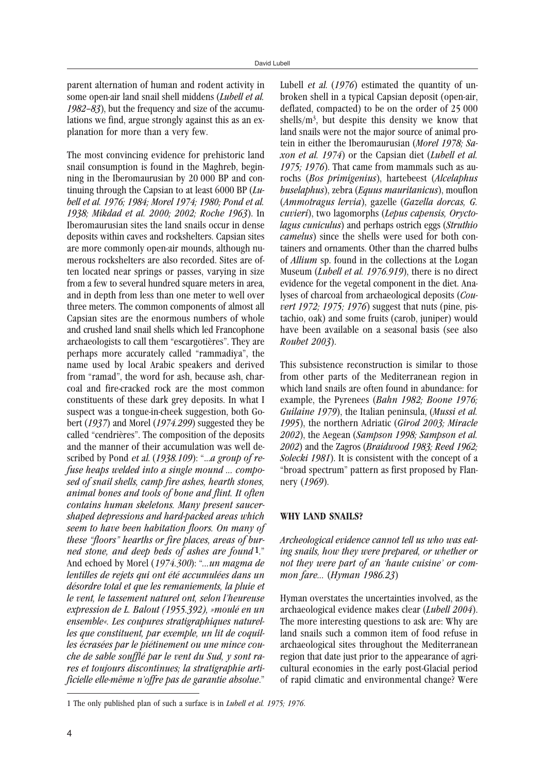parent alternation of human and rodent activity in some open-air land snail shell middens (*Lubell et al. 1982–83*), but the frequency and size of the accumulations we find, argue strongly against this as an explanation for more than a very few.

The most convincing evidence for prehistoric land snail consumption is found in the Maghreb, beginning in the Iberomaurusian by 20 000 BP and continuing through the Capsian to at least 6000 BP (*Lubell et al. 1976; 1984; Morel 1974; 1980; Pond et al. 1938; Mikdad et al. 2000; 2002; Roche 1963*). In Iberomaurusian sites the land snails occur in dense deposits within caves and rockshelters. Capsian sites are more commonly open-air mounds, although numerous rockshelters are also recorded. Sites are often located near springs or passes, varying in size from a few to several hundred square meters in area, and in depth from less than one meter to well over three meters. The common components of almost all Capsian sites are the enormous numbers of whole and crushed land snail shells which led Francophone archaeologists to call them "escargotières". They are perhaps more accurately called "rammadiya", the name used by local Arabic speakers and derived from "ramad", the word for ash, because ash, charcoal and fire-cracked rock are the most common constituents of these dark grey deposits. In what I suspect was a tongue-in-cheek suggestion, both Gobert (*1937*) and Morel (*1974.299*) suggested they be called "cendrières". The composition of the deposits and the manner of their accumulation was well described by Pond et al. (*1938.109*): "...*a group of refuse heaps welded into a single mound ... composed of snail shells, camp fire ashes, hearth stones, animal bones and tools of bone and flint. It often contains human skeletons. Many present saucershaped depressions and hard-packed areas which seem to have been habitation floors. On many of these "floors" hearths or fire places, areas of burned stone, and deep beds of ashes are found* 1." And echoed by Morel (1974.300): "*...un magma de lentilles de rejets qui ont été accumulées dans un désordre total et que les remaniements, la pluie et le vent, le tassement naturel ont, selon l'heureuse expression de L. Balout (1955.392), »moulé en un ensemble«. Les coupures stratigraphiques naturelles que constituent, par exemple, un lit de coquilles écrasées par le piétinement ou une mince couche de sable soufflé par le vent du Sud, y sont rares et toujours discontinues; la stratigraphie artificielle elle-même n'offre pas de garantie absolue*."

Lubell et al. (1976) estimated the quantity of unbroken shell in a typical Capsian deposit (open-air, deflated, compacted) to be on the order of 25 000 shells/ $m<sup>3</sup>$ , but despite this density we know that land snails were not the major source of animal protein in either the Iberomaurusian (*Morel 1978; Saxon et al. 1974*) or the Capsian diet (*Lubell et al. 1975; 1976*). That came from mammals such as aurochs (*Bos primigenius*), hartebeest (*Alcelaphus buselaphus*), zebra (*Equus mauritanicus*), mouflon (*Ammotragus lervia*), gazelle (*Gazella dorcas, G. cuvieri*), two lagomorphs (*Lepus capensis, Oryctolagus cuniculus*) and perhaps ostrich eggs (*Struthio camelus*) since the shells were used for both containers and ornaments. Other than the charred bulbs of *Allium* sp. found in the collections at the Logan Museum (*Lubell et al. 1976.919*), there is no direct evidence for the vegetal component in the diet. Analyses of charcoal from archaeological deposits (*Couvert 1972; 1975; 1976*) suggest that nuts (pine, pistachio, oak) and some fruits (carob, juniper) would have been available on a seasonal basis (see also *Roubet 2003*).

This subsistence reconstruction is similar to those from other parts of the Mediterranean region in which land snails are often found in abundance: for example, the Pyrenees (*Bahn 1982; Boone 1976; Guilaine 1979*), the Italian peninsula, (*Mussi et al. 1995*), the northern Adriatic (*Girod 2003; Miracle 2002*), the Aegean (*Sampson 1998; Sampson et al. 2002*) and the Zagros (*Braidwood 1983; Reed 1962; Solecki 1981*). It is consistent with the concept of a "broad spectrum" pattern as first proposed by Flannery (*1969*).

# **WHY LAND SNAILS?**

*Archeological evidence cannot tell us who was eating snails, how they were prepared, or whether or not they were part of an 'haute cuisine' or common fare...* (*Hyman 1986.23*)

Hyman overstates the uncertainties involved, as the archaeological evidence makes clear (*Lubell 2004*). The more interesting questions to ask are: Why are land snails such a common item of food refuse in archaeological sites throughout the Mediterranean region that date just prior to the appearance of agricultural economies in the early post-Glacial period of rapid climatic and environmental change? Were

<sup>1</sup> The only published plan of such a surface is in *Lubell et al. 1975; 1976*.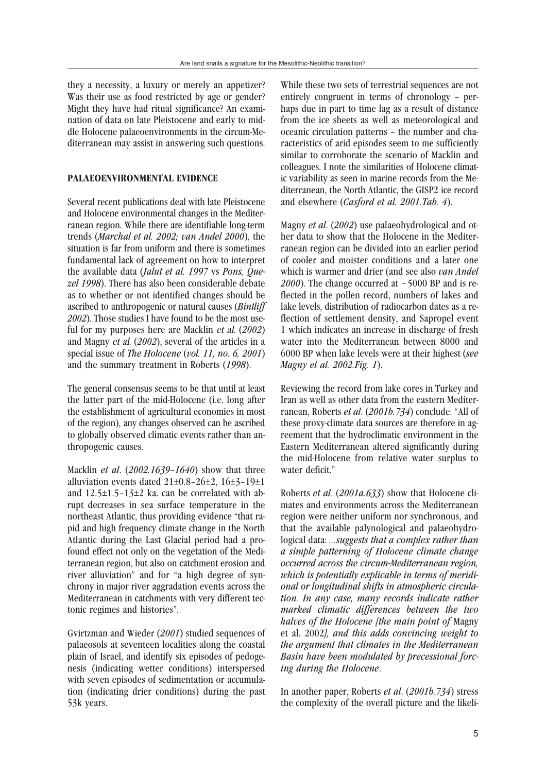they a necessity, a luxury or merely an appetizer? Was their use as food restricted by age or gender? Might they have had ritual significance? An examination of data on late Pleistocene and early to middle Holocene palaeoenvironments in the circum-Mediterranean may assist in answering such questions.

#### **PALAEOENVIRONMENTAL EVIDENCE**

Several recent publications deal with late Pleistocene and Holocene environmental changes in the Mediterranean region. While there are identifiable long-term trends (*Marchal et al. 2002; van Andel 2000*), the situation is far from uniform and there is sometimes fundamental lack of agreement on how to interpret the available data (*Jalut et al. 1997* vs *Pons, Quezel 1998*). There has also been considerable debate as to whether or not identified changes should be ascribed to anthropogenic or natural causes (*Bintliff 2002*). Those studies I have found to be the most useful for my purposes here are Macklin et al. (*2002*) and Magny et al. (*2002*), several of the articles in a special issue of *The Holocene* (*vol. 11, no. 6, 2001*) and the summary treatment in Roberts (*1998*).

The general consensus seems to be that until at least the latter part of the mid-Holocene (i.e. long after the establishment of agricultural economies in most of the region), any changes observed can be ascribed to globally observed climatic events rather than anthropogenic causes.

Macklin *et al*. (*2002.1639–1640*) show that three alluviation events dated  $21 \pm 0.8 - 26 \pm 2$ ,  $16 \pm 3 - 19 \pm 1$ and  $12.5\pm1.5-13\pm2$  ka. can be correlated with abrupt decreases in sea surface temperature in the northeast Atlantic, thus providing evidence "that rapid and high frequency climate change in the North Atlantic during the Last Glacial period had a profound effect not only on the vegetation of the Mediterranean region, but also on catchment erosion and river alluviation" and for "a high degree of synchrony in major river aggradation events across the Mediterranean in catchments with very different tectonic regimes and histories".

Gvirtzman and Wieder (*2001*) studied sequences of palaeosols at seventeen localities along the coastal plain of Israel, and identify six episodes of pedogenesis (indicating wetter conditions) interspersed with seven episodes of sedimentation or accumulation (indicating drier conditions) during the past 53k years.

While these two sets of terrestrial sequences are not entirely congruent in terms of chronology – perhaps due in part to time lag as a result of distance from the ice sheets as well as meteorological and oceanic circulation patterns – the number and characteristics of arid episodes seem to me sufficiently similar to corroborate the scenario of Macklin and colleagues. I note the similarities of Holocene climatic variability as seen in marine records from the Mediterranean, the North Atlantic, the GISP2 ice record and elsewhere (*Casford et al. 2001.Tab. 4*).

Magny *et al*. (*2002*) use palaeohydrological and other data to show that the Holocene in the Mediterranean region can be divided into an earlier period of cooler and moister conditions and a later one which is warmer and drier (and see also *van Andel 2000*). The change occurred at ~5000 BP and is reflected in the pollen record, numbers of lakes and lake levels, distribution of radiocarbon dates as a reflection of settlement density, and Sapropel event 1 which indicates an increase in discharge of fresh water into the Mediterranean between 8000 and 6000 BP when lake levels were at their highest (*see Magny et al. 2002.Fig. 1*).

Reviewing the record from lake cores in Turkey and Iran as well as other data from the eastern Mediterranean, Roberts *et al*. (*2001b.734*) conclude: "All of these proxy-climate data sources are therefore in agreement that the hydroclimatic environment in the Eastern Mediterranean altered significantly during the mid-Holocene from relative water surplus to water deficit."

Roberts *et al*. (*2001a.633*) show that Holocene climates and environments across the Mediterranean region were neither uniform nor synchronous, and that the available palynological and palaeohydrological data: *...suggests that a complex rather than a simple patterning of Holocene climate change occurred across the circum-Mediterranean region, which is potentially explicable in terms of meridional or longitudinal shifts in atmospheric circulation. In any case, many records indicate rather marked climatic differences between the two halves of the Holocene [the main point of* Magny et al. 2002*], and this adds convincing weight to the argument that climates in the Mediterranean Basin have been modulated by precessional forcing during the Holocene*.

In another paper, Roberts *et al*. (*2001b.734*) stress the complexity of the overall picture and the likeli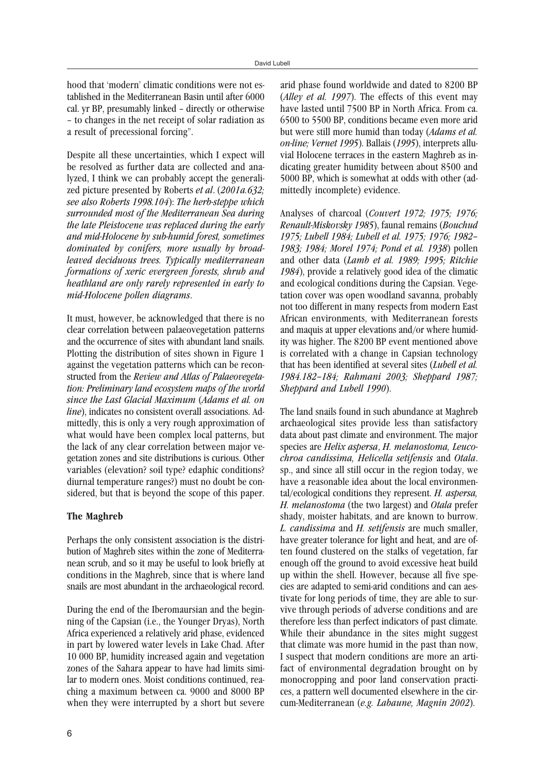hood that 'modern' climatic conditions were not established in the Mediterranean Basin until after 6000 cal. yr BP, presumably linked – directly or otherwise – to changes in the net receipt of solar radiation as a result of precessional forcing".

Despite all these uncertainties, which I expect will be resolved as further data are collected and analyzed, I think we can probably accept the generalized picture presented by Roberts *et al*. (*2001a.632; see also Roberts 1998.104*): *The herb-steppe which surrounded most of the Mediterranean Sea during the late Pleistocene was replaced during the early and mid-Holocene by sub-humid forest, sometimes dominated by conifers, more usually by broadleaved deciduous trees. Typically mediterranean formations of xeric evergreen forests, shrub and heathland are only rarely represented in early to mid-Holocene pollen diagrams*.

It must, however, be acknowledged that there is no clear correlation between palaeovegetation patterns and the occurrence of sites with abundant land snails. Plotting the distribution of sites shown in Figure 1 against the vegetation patterns which can be reconstructed from the *Review and Atlas of Palaeovegetation: Preliminary land ecosystem maps of the world since the Last Glacial Maximum* (*Adams et al. on line*), indicates no consistent overall associations. Admittedly, this is only a very rough approximation of what would have been complex local patterns, but the lack of any clear correlation between major vegetation zones and site distributions is curious. Other variables (elevation? soil type? edaphic conditions? diurnal temperature ranges?) must no doubt be considered, but that is beyond the scope of this paper.

# **The Maghreb**

Perhaps the only consistent association is the distribution of Maghreb sites within the zone of Mediterranean scrub, and so it may be useful to look briefly at conditions in the Maghreb, since that is where land snails are most abundant in the archaeological record.

During the end of the Iberomaursian and the beginning of the Capsian (i.e., the Younger Dryas), North Africa experienced a relatively arid phase, evidenced in part by lowered water levels in Lake Chad. After 10 000 BP, humidity increased again and vegetation zones of the Sahara appear to have had limits similar to modern ones. Moist conditions continued, reaching a maximum between ca. 9000 and 8000 BP when they were interrupted by a short but severe

arid phase found worldwide and dated to 8200 BP (*Alley et al. 1997*). The effects of this event may have lasted until 7500 BP in North Africa. From ca. 6500 to 5500 BP, conditions became even more arid but were still more humid than today (*Adams et al. on-line; Vernet 1995*). Ballais (*1995*), interprets alluvial Holocene terraces in the eastern Maghreb as indicating greater humidity between about 8500 and 5000 BP, which is somewhat at odds with other (admittedly incomplete) evidence.

Analyses of charcoal (*Couvert 1972; 1975; 1976; Renault-Miskovsky 1985*), faunal remains (*Bouchud 1975; Lubell 1984; Lubell et al. 1975; 1976; 1982– 1983; 1984; Morel 1974; Pond et al. 1938*) pollen and other data (*Lamb et al. 1989; 1995; Ritchie 1984*), provide a relatively good idea of the climatic and ecological conditions during the Capsian. Vegetation cover was open woodland savanna, probably not too different in many respects from modern East African environments, with Mediterranean forests and maquis at upper elevations and/or where humidity was higher. The 8200 BP event mentioned above is correlated with a change in Capsian technology that has been identified at several sites (*Lubell et al. 1984.182–184; Rahmani 2003; Sheppard 1987; Sheppard and Lubell 1990*).

The land snails found in such abundance at Maghreb archaeological sites provide less than satisfactory data about past climate and environment. The major species are *Helix aspersa*, *H. melanostoma, Leucochroa candissima, Helicella setifensis* and *Otala*. sp., and since all still occur in the region today, we have a reasonable idea about the local environmental/ecological conditions they represent. *H. aspersa, H. melanostoma* (the two largest) and *Otala* prefer shady, moister habitats, and are known to burrow. *L. candissima* and *H. setifensis* are much smaller, have greater tolerance for light and heat, and are often found clustered on the stalks of vegetation, far enough off the ground to avoid excessive heat build up within the shell. However, because all five species are adapted to semi-arid conditions and can aestivate for long periods of time, they are able to survive through periods of adverse conditions and are therefore less than perfect indicators of past climate. While their abundance in the sites might suggest that climate was more humid in the past than now, I suspect that modern conditions are more an artifact of environmental degradation brought on by monocropping and poor land conservation practices, a pattern well documented elsewhere in the circum-Mediterranean (*e.g. Labaune, Magnin 2002*).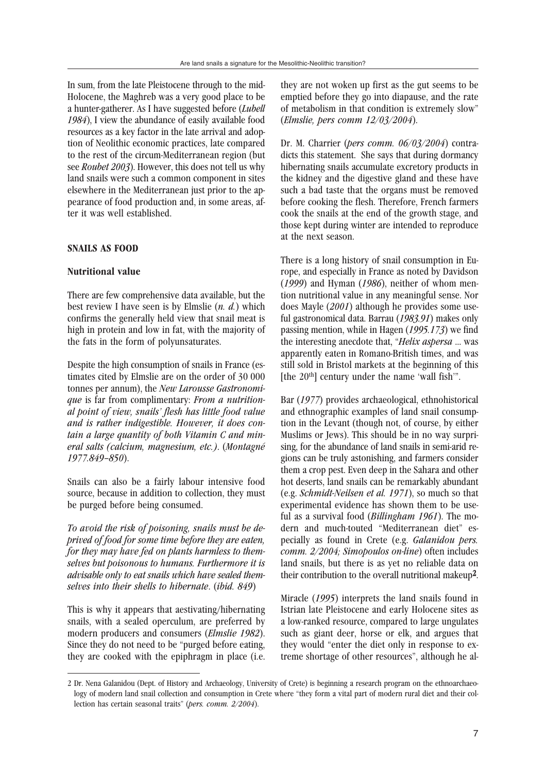In sum, from the late Pleistocene through to the mid-Holocene, the Maghreb was a very good place to be a hunter-gatherer. As I have suggested before (*Lubell 1984*), I view the abundance of easily available food resources as a key factor in the late arrival and adoption of Neolithic economic practices, late compared to the rest of the circum-Mediterranean region (but see *Roubet 2003*). However, this does not tell us why land snails were such a common component in sites elsewhere in the Mediterranean just prior to the appearance of food production and, in some areas, after it was well established.

# **SNAILS AS FOOD**

### **Nutritional value**

There are few comprehensive data available, but the best review I have seen is by Elmslie (*n. d.*) which confirms the generally held view that snail meat is high in protein and low in fat, with the majority of the fats in the form of polyunsaturates.

Despite the high consumption of snails in France (estimates cited by Elmslie are on the order of 30 000 tonnes per annum), the *New Larousse Gastronomique* is far from complimentary: *From a nutritional point of view, snails' flesh has little food value and is rather indigestible. However, it does contain a large quantity of both Vitamin C and mineral salts (calcium, magnesium, etc.)*. (*Montagné 1977.849–850*).

Snails can also be a fairly labour intensive food source, because in addition to collection, they must be purged before being consumed.

*To avoid the risk of poisoning, snails must be deprived of food for some time before they are eaten, for they may have fed on plants harmless to themselves but poisonous to humans. Furthermore it is advisable only to eat snails which have sealed themselves into their shells to hibernate*. (*ibid. 849*)

This is why it appears that aestivating/hibernating snails, with a sealed operculum, are preferred by modern producers and consumers (*Elmslie 1982*). Since they do not need to be "purged before eating, they are cooked with the epiphragm in place (i.e.

they are not woken up first as the gut seems to be emptied before they go into diapause, and the rate of metabolism in that condition is extremely slow" (*Elmslie, pers comm 12/03/2004*).

Dr. M. Charrier (*pers comm. 06/03/2004*) contradicts this statement. She says that during dormancy hibernating snails accumulate excretory products in the kidney and the digestive gland and these have such a bad taste that the organs must be removed before cooking the flesh. Therefore, French farmers cook the snails at the end of the growth stage, and those kept during winter are intended to reproduce at the next season.

There is a long history of snail consumption in Europe, and especially in France as noted by Davidson (*1999*) and Hyman (*1986*), neither of whom mention nutritional value in any meaningful sense. Nor does Mayle (*2001*) although he provides some useful gastronomical data. Barrau (*1983.91*) makes only passing mention, while in Hagen (*1995.173*) we find the interesting anecdote that, "*Helix aspersa* ... was apparently eaten in Romano-British times, and was still sold in Bristol markets at the beginning of this [the 20<sup>th</sup>] century under the name 'wall fish'".

Bar (*1977*) provides archaeological, ethnohistorical and ethnographic examples of land snail consumption in the Levant (though not, of course, by either Muslims or Jews). This should be in no way surprising, for the abundance of land snails in semi-arid regions can be truly astonishing, and farmers consider them a crop pest. Even deep in the Sahara and other hot deserts, land snails can be remarkably abundant (e.g. *Schmidt-Neilsen et al. 1971*), so much so that experimental evidence has shown them to be useful as a survival food (*Billingham 1961*). The modern and much-touted "Mediterranean diet" especially as found in Crete (e.g. *Galanidou pers. comm. 2/2004; Simopoulos on-line*) often includes land snails, but there is as yet no reliable data on their contribution to the overall nutritional makeup2.

Miracle (*1995*) interprets the land snails found in Istrian late Pleistocene and early Holocene sites as a low-ranked resource, compared to large ungulates such as giant deer, horse or elk, and argues that they would "enter the diet only in response to extreme shortage of other resources", although he al-

<sup>2</sup> Dr. Nena Galanidou (Dept. of History and Archaeology, University of Crete) is beginning a research program on the ethnoarchaeology of modern land snail collection and consumption in Crete where "they form a vital part of modern rural diet and their collection has certain seasonal traits" (*pers. comm. 2/2004*).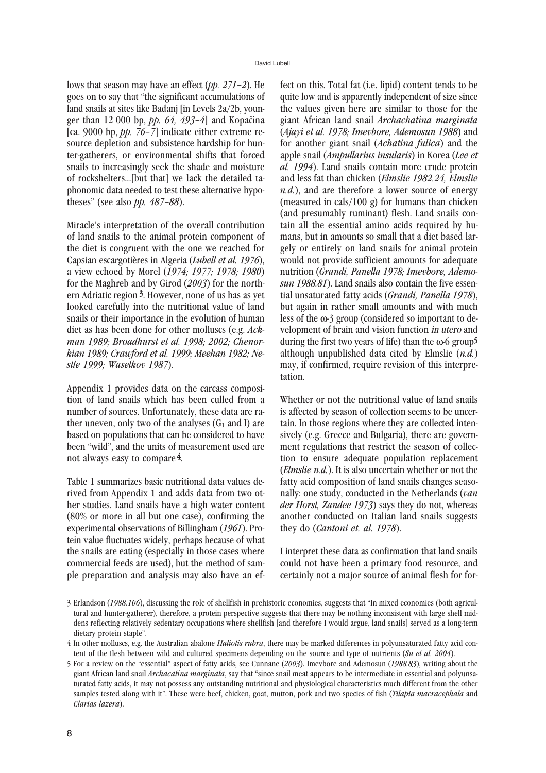lows that season may have an effect (*pp. 271–2*). He goes on to say that "the significant accumulations of land snails at sites like Badanj [in Levels 2a/2b, younger than 12 000 bp, *pp. 64, 493–4*] and Kopačina [ca. 9000 bp, *pp. 76–7*] indicate either extreme resource depletion and subsistence hardship for hunter-gatherers, or environmental shifts that forced snails to increasingly seek the shade and moisture of rockshelters...[but that] we lack the detailed taphonomic data needed to test these alternative hypotheses" (see also *pp. 487–88*).

Miracle's interpretation of the overall contribution of land snails to the animal protein component of the diet is congruent with the one we reached for Capsian escargotières in Algeria (*Lubell et al. 1976*), a view echoed by Morel (*1974; 1977; 1978; 1980*) for the Maghreb and by Girod (*2003*) for the northern Adriatic region 3. However, none of us has as yet looked carefully into the nutritional value of land snails or their importance in the evolution of human diet as has been done for other molluscs (e.g. *Ackman 1989; Broadhurst et al. 1998; 2002; Chenorkian 1989; Crawford et al. 1999; Meehan 1982; Nestle 1999; Waselkov 1987*).

Appendix 1 provides data on the carcass composition of land snails which has been culled from a number of sources. Unfortunately, these data are rather uneven, only two of the analyses  $(G_1 \text{ and } I)$  are based on populations that can be considered to have been "wild", and the units of measurement used are not always easy to compare 4.

Table 1 summarizes basic nutritional data values derived from Appendix 1 and adds data from two other studies. Land snails have a high water content (80% or more in all but one case), confirming the experimental observations of Billingham (*1961*). Protein value fluctuates widely, perhaps because of what the snails are eating (especially in those cases where commercial feeds are used), but the method of sample preparation and analysis may also have an effect on this. Total fat (i.e. lipid) content tends to be quite low and is apparently independent of size since the values given here are similar to those for the giant African land snail *Archachatina marginata* (*Ajayi et al. 1978; Imevbore, Ademosun 1988*) and for another giant snail (*Achatina fulica*) and the apple snail (*Ampullarius insularis*) in Korea (*Lee et al. 1994*). Land snails contain more crude protein and less fat than chicken (*Elmslie 1982.24, Elmslie n.d.*), and are therefore a lower source of energy (measured in cals/100 g) for humans than chicken (and presumably ruminant) flesh. Land snails contain all the essential amino acids required by humans, but in amounts so small that a diet based largely or entirely on land snails for animal protein would not provide sufficient amounts for adequate nutrition (*Grandi, Panella 1978; Imevbore, Ademosun 1988.81*). Land snails also contain the five essential unsaturated fatty acids (*Grandi, Panella 1978*), but again in rather small amounts and with much less of the  $\omega_3$  group (considered so important to development of brain and vision function in utero and during the first two years of life) than the  $\omega$ -6 group<sup>5</sup> although unpublished data cited by Elmslie (*n.d.*) may, if confirmed, require revision of this interpretation.

Whether or not the nutritional value of land snails is affected by season of collection seems to be uncertain. In those regions where they are collected intensively (e.g. Greece and Bulgaria), there are government regulations that restrict the season of collection to ensure adequate population replacement (*Elmslie n.d.*). It is also uncertain whether or not the fatty acid composition of land snails changes seasonally: one study, conducted in the Netherlands (*van der Horst, Zandee 1973*) says they do not, whereas another conducted on Italian land snails suggests they do (*Cantoni et. al. 1978*).

I interpret these data as confirmation that land snails could not have been a primary food resource, and certainly not a major source of animal flesh for for-

<sup>3</sup> Erlandson (*1988.106*), discussing the role of shellfish in prehistoric economies, suggests that "In mixed economies (both agricultural and hunter-gatherer), therefore, a protein perspective suggests that there may be nothing inconsistent with large shell middens reflecting relatively sedentary occupations where shellfish [and therefore I would argue, land snails] served as a long-term dietary protein staple".

<sup>4</sup> In other molluscs, e.g. the Australian abalone *Haliotis rubra*, there may be marked differences in polyunsaturated fatty acid content of the flesh between wild and cultured specimens depending on the source and type of nutrients (*Su et al. 2004*).

<sup>5</sup> For a review on the "essential" aspect of fatty acids, see Cunnane (*2003*). Imevbore and Ademosun (*1988.83*), writing about the giant African land snail *Archacatina marginata*, say that "since snail meat appears to be intermediate in essential and polyunsaturated fatty acids, it may not possess any outstanding nutritional and physiological characteristics much different from the other samples tested along with it". These were beef, chicken, goat, mutton, pork and two species of fish (*Tilapia macracephala* and *Clarias lazera*).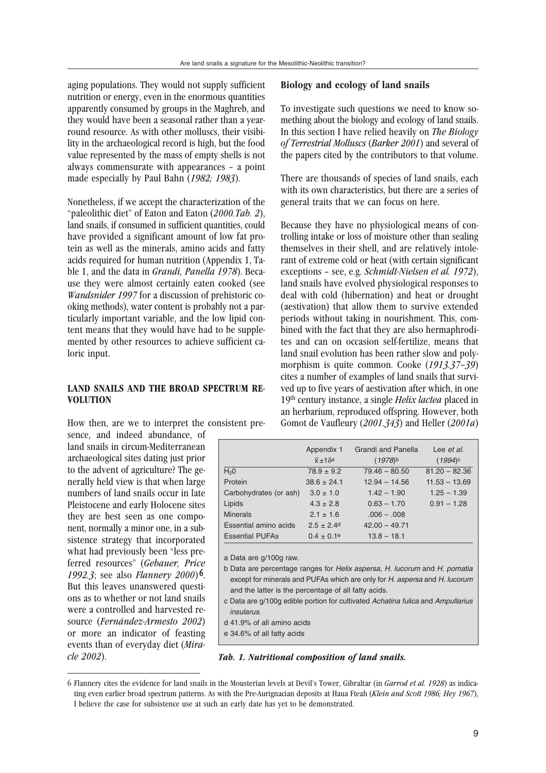aging populations. They would not supply sufficient nutrition or energy, even in the enormous quantities apparently consumed by groups in the Maghreb, and they would have been a seasonal rather than a yearround resource. As with other molluscs, their visibility in the archaeological record is high, but the food value represented by the mass of empty shells is not always commensurate with appearances – a point made especially by Paul Bahn (*1982; 1983*).

Nonetheless, if we accept the characterization of the "paleolithic diet" of Eaton and Eaton (*2000.Tab. 2*), land snails, if consumed in sufficient quantities, could have provided a significant amount of low fat protein as well as the minerals, amino acids and fatty acids required for human nutrition (Appendix 1, Table 1, and the data in *Grandi, Panella 1978*). Because they were almost certainly eaten cooked (see *Wandsnider 1997* for a discussion of prehistoric cooking methods), water content is probably not a particularly important variable, and the low lipid content means that they would have had to be supplemented by other resources to achieve sufficient caloric input.

# **LAND SNAILS AND THE BROAD SPECTRUM RE-VOLUTION**

How then, are we to interpret the consistent pre-

sence, and indeed abundance, of land snails in circum-Mediterranean archaeological sites dating just prior to the advent of agriculture? The generally held view is that when large numbers of land snails occur in late Pleistocene and early Holocene sites they are best seen as one component, normally a minor one, in a subsistence strategy that incorporated what had previously been "less preferred resources" (*Gebauer, Price 1992.3*; see also *Flannery 2000*) 6. But this leaves unanswered questions as to whether or not land snails were a controlled and harvested resource (*Fernández-Armesto 2002*) or more an indicator of feasting events than of everyday diet (*Miracle 2002*).

### **Biology and ecology of land snails**

To investigate such questions we need to know something about the biology and ecology of land snails. In this section I have relied heavily on *The Biology of Terrestrial Molluscs* (*Barker 2001*) and several of the papers cited by the contributors to that volume.

There are thousands of species of land snails, each with its own characteristics, but there are a series of general traits that we can focus on here.

Because they have no physiological means of controlling intake or loss of moisture other than sealing themselves in their shell, and are relatively intolerant of extreme cold or heat (with certain significant exceptions – see, e.g. *Schmidt-Nielsen et al. 1972*), land snails have evolved physiological responses to deal with cold (hibernation) and heat or drought (aestivation) that allow them to survive extended periods without taking in nourishment. This, combined with the fact that they are also hermaphrodites and can on occasion self-fertilize, means that land snail evolution has been rather slow and polymorphism is quite common. Cooke (*1913.37–39*) cites a number of examples of land snails that survived up to five years of aestivation after which, in one 19th century instance, a single *Helix lactea* placed in an herbarium, reproduced offspring. However, both Gomot de Vaufleury (*2001.343*) and Heller (*2001a*)

|                        | Appendix 1<br>$\overline{x} \pm 1$ $\delta^a$ | <b>Grandi</b> and Panella<br>$(1978)$ <sup>b</sup> | Lee et al.<br>$(1994)$ c |
|------------------------|-----------------------------------------------|----------------------------------------------------|--------------------------|
| H <sub>2</sub> 0       | $78.9 \pm 9.2$                                | $79.46 - 80.50$                                    | $81.20 - 82.36$          |
| Protein                | $38.6 \pm 24.1$                               | $12.94 - 14.56$                                    | $11.53 - 13.69$          |
| Carbohydrates (or ash) | $3.0 \pm 1.0$                                 | $1.42 - 1.90$                                      | $1.25 - 1.39$            |
| Lipids                 | $4.3 \pm 2.8$                                 | $0.63 - 1.70$                                      | $0.91 - 1.28$            |
| <b>Minerals</b>        | $2.1 \pm 1.6$                                 | $.006 - .008$                                      |                          |
| Essential amino acids  | $2.5 \pm 2.4$ d                               | $42.00 - 49.71$                                    |                          |
| <b>Essential PUFAs</b> | $0.4 \pm 0.1$ <sup>e</sup>                    | $13.8 - 18.1$                                      |                          |

a Data are g/100g raw.

b Data are percentage ranges for Helix aspersa, H. lucorum and H. pomatia except for minerals and PUFAs which are only for H. aspersa and H. lucorum and the latter is the percentage of all fatty acids.

- c Data are g/100g edible portion for cultivated Achatina fulica and Ampullarius insularus.
- d 41.9% of all amino acids
- e 34.6% of all fatty acids

*Tab. 1. Nutritional composition of land snails.*

<sup>6</sup> Flannery cites the evidence for land snails in the Mousterian levels at Devil's Tower, Gibraltar (in *Garrod et al. 1928*) as indicating even earlier broad spectrum patterns. As with the Pre-Aurignacian deposits at Haua Fteah (*Klein and Scott 1986; Hey 1967*), I believe the case for subsistence use at such an early date has yet to be demonstrated.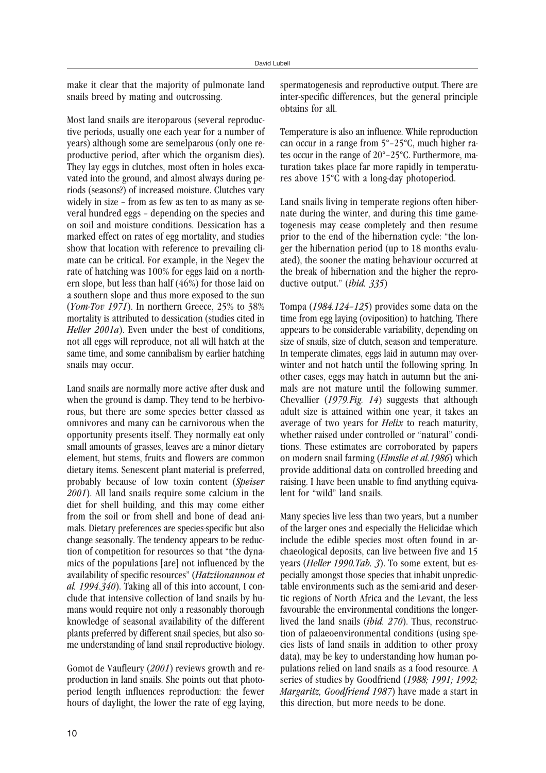make it clear that the majority of pulmonate land snails breed by mating and outcrossing.

Most land snails are iteroparous (several reproductive periods, usually one each year for a number of years) although some are semelparous (only one reproductive period, after which the organism dies). They lay eggs in clutches, most often in holes excavated into the ground, and almost always during periods (seasons?) of increased moisture. Clutches vary widely in size – from as few as ten to as many as several hundred eggs – depending on the species and on soil and moisture conditions. Dessication has a marked effect on rates of egg mortality, and studies show that location with reference to prevailing climate can be critical. For example, in the Negev the rate of hatching was 100% for eggs laid on a northern slope, but less than half (46%) for those laid on a southern slope and thus more exposed to the sun (*Yom-Tov 1971*). In northern Greece, 25% to 38% mortality is attributed to dessication (studies cited in *Heller 2001a*). Even under the best of conditions, not all eggs will reproduce, not all will hatch at the same time, and some cannibalism by earlier hatching snails may occur.

Land snails are normally more active after dusk and when the ground is damp. They tend to be herbivorous, but there are some species better classed as omnivores and many can be carnivorous when the opportunity presents itself. They normally eat only small amounts of grasses, leaves are a minor dietary element, but stems, fruits and flowers are common dietary items. Senescent plant material is preferred, probably because of low toxin content (*Speiser 2001*). All land snails require some calcium in the diet for shell building, and this may come either from the soil or from shell and bone of dead animals. Dietary preferences are species-specific but also change seasonally. The tendency appears to be reduction of competition for resources so that "the dynamics of the populations [are] not influenced by the availability of specific resources" (*Hatziionannou et al. 1994.340*). Taking all of this into account, I conclude that intensive collection of land snails by humans would require not only a reasonably thorough knowledge of seasonal availability of the different plants preferred by different snail species, but also some understanding of land snail reproductive biology.

Gomot de Vaufleury (*2001*) reviews growth and reproduction in land snails. She points out that photoperiod length influences reproduction: the fewer hours of daylight, the lower the rate of egg laying,

spermatogenesis and reproductive output. There are inter-specific differences, but the general principle obtains for all.

Temperature is also an influence. While reproduction can occur in a range from 5°–25°C, much higher rates occur in the range of 20°–25°C. Furthermore, maturation takes place far more rapidly in temperatures above 15°C with a long-day photoperiod.

Land snails living in temperate regions often hibernate during the winter, and during this time gametogenesis may cease completely and then resume prior to the end of the hibernation cycle: "the longer the hibernation period (up to 18 months evaluated), the sooner the mating behaviour occurred at the break of hibernation and the higher the reproductive output." (*ibid. 335*)

Tompa (*1984.124–125*) provides some data on the time from egg laying (oviposition) to hatching. There appears to be considerable variability, depending on size of snails, size of clutch, season and temperature. In temperate climates, eggs laid in autumn may overwinter and not hatch until the following spring. In other cases, eggs may hatch in autumn but the animals are not mature until the following summer. Chevallier (*1979.Fig. 14*) suggests that although adult size is attained within one year, it takes an average of two years for *Helix* to reach maturity, whether raised under controlled or "natural" conditions. These estimates are corroborated by papers on modern snail farming (*Elmslie et al.1986*) which provide additional data on controlled breeding and raising. I have been unable to find anything equivalent for "wild" land snails.

Many species live less than two years, but a number of the larger ones and especially the Helicidae which include the edible species most often found in archaeological deposits, can live between five and 15 years (*Heller 1990.Tab. 3*). To some extent, but especially amongst those species that inhabit unpredictable environments such as the semi-arid and desertic regions of North Africa and the Levant, the less favourable the environmental conditions the longerlived the land snails (*ibid. 270*). Thus, reconstruction of palaeoenvironmental conditions (using species lists of land snails in addition to other proxy data), may be key to understanding how human populations relied on land snails as a food resource. A series of studies by Goodfriend (*1988; 1991; 1992; Margaritz, Goodfriend 1987*) have made a start in this direction, but more needs to be done.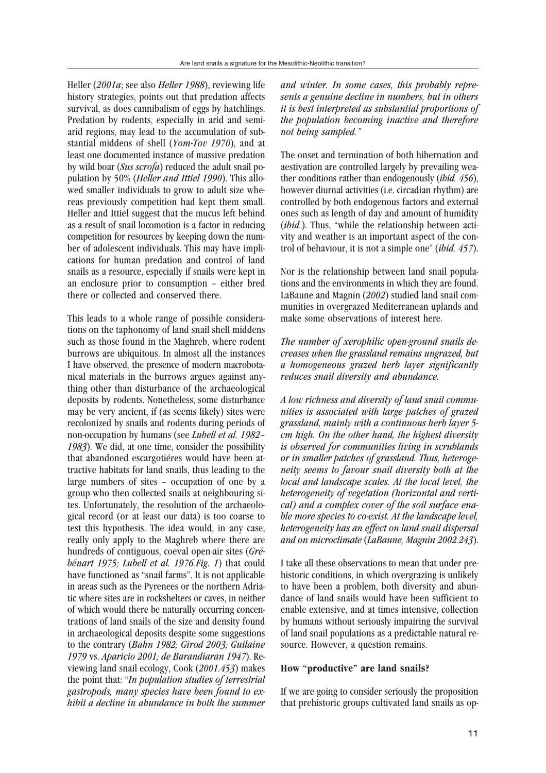Heller (*2001a*; see also *Heller 1988*), reviewing life history strategies, points out that predation affects survival, as does cannibalism of eggs by hatchlings. Predation by rodents, especially in arid and semiarid regions, may lead to the accumulation of substantial middens of shell (*Yom-Tov 1970*), and at least one documented instance of massive predation by wild boar (*Sus scrofa*) reduced the adult snail population by 50% (*Heller and Ittiel 1990*). This allowed smaller individuals to grow to adult size whereas previously competition had kept them small. Heller and Ittiel suggest that the mucus left behind as a result of snail locomotion is a factor in reducing competition for resources by keeping down the number of adolescent individuals. This may have implications for human predation and control of land snails as a resource, especially if snails were kept in an enclosure prior to consumption – either bred there or collected and conserved there.

This leads to a whole range of possible considerations on the taphonomy of land snail shell middens such as those found in the Maghreb, where rodent burrows are ubiquitous. In almost all the instances I have observed, the presence of modern macrobotanical materials in the burrows argues against anything other than disturbance of the archaeological deposits by rodents. Nonetheless, some disturbance may be very ancient, if (as seems likely) sites were recolonized by snails and rodents during periods of non-occupation by humans (see *Lubell et al. 1982– 1983*). We did, at one time, consider the possibility that abandoned escargotiéres would have been attractive habitats for land snails, thus leading to the large numbers of sites – occupation of one by a group who then collected snails at neighbouring sites. Unfortunately, the resolution of the archaeological record (or at least our data) is too coarse to test this hypothesis. The idea would, in any case, really only apply to the Maghreb where there are hundreds of contiguous, coeval open-air sites (*Grébénart 1975; Lubell et al. 1976.Fig. 1*) that could have functioned as "snail farms". It is not applicable in areas such as the Pyrenees or the northern Adriatic where sites are in rockshelters or caves, in neither of which would there be naturally occurring concentrations of land snails of the size and density found in archaeological deposits despite some suggestions to the contrary (*Bahn 1982; Girod 2003; Guilaine 1979* vs. *Aparicio 2001; de Barandiaran 1947*). Reviewing land snail ecology, Cook (*2001.453*) makes the point that: "*In population studies of terrestrial gastropods, many species have been found to exhibit a decline in abundance in both the summer* *and winter. In some cases, this probably represents a genuine decline in numbers, but in others it is best interpreted as substantial proportions of the population becoming inactive and therefore not being sampled."*

The onset and termination of both hibernation and aestivation are controlled largely by prevailing weather conditions rather than endogenously (*ibid. 456*), however diurnal activities (i.e. circadian rhythm) are controlled by both endogenous factors and external ones such as length of day and amount of humidity (*ibid.*). Thus, "while the relationship between activity and weather is an important aspect of the control of behaviour, it is not a simple one" (*ibid. 457*).

Nor is the relationship between land snail populations and the environments in which they are found. LaBaune and Magnin (*2002*) studied land snail communities in overgrazed Mediterranean uplands and make some observations of interest here.

*The number of xerophilic open-ground snails decreases when the grassland remains ungrazed, but a homogeneous grazed herb layer significantly reduces snail diversity and abundance.*

*A low richness and diversity of land snail communities is associated with large patches of grazed grassland, mainly with a continuous herb layer 5 cm high. On the other hand, the highest diversity is observed for communities living in scrublands or in smaller patches of grassland. Thus, heterogeneity seems to favour snail diversity both at the local and landscape scales. At the local level, the heterogeneity of vegetation (horizontal and vertical) and a complex cover of the soil surface enable more species to co-exist. At the landscape level, heterogeneity has an effect on land snail dispersal and on microclimate* (*LaBaune, Magnin 2002.243*).

I take all these observations to mean that under prehistoric conditions, in which overgrazing is unlikely to have been a problem, both diversity and abundance of land snails would have been sufficient to enable extensive, and at times intensive, collection by humans without seriously impairing the survival of land snail populations as a predictable natural resource. However, a question remains.

#### **How "productive" are land snails?**

If we are going to consider seriously the proposition that prehistoric groups cultivated land snails as op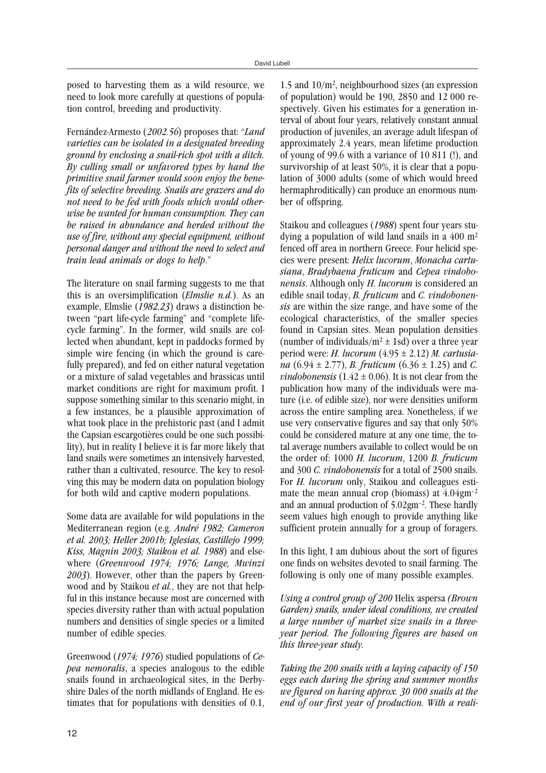posed to harvesting them as a wild resource, we need to look more carefully at questions of population control, breeding and productivity.

Fernández-Armesto (2002.56) proposes that: "*Land varieties can be isolated in a designated breeding ground by enclosing a snail-rich spot with a ditch. By culling small or unfavored types by hand the primitive snail farmer would soon enjoy the benefits of selective breeding. Snails are grazers and do not need to be fed with foods which would otherwise be wanted for human consumption. They can be raised in abundance and herded without the use of fire, without any special equipment, without personal danger and without the need to select and train lead animals or dogs to help*."

The literature on snail farming suggests to me that this is an oversimplification (*Elmslie n.d.*). As an example, Elmslie (*1982.23*) draws a distinction between "part life-cycle farming" and "complete lifecycle farming". In the former, wild snails are collected when abundant, kept in paddocks formed by simple wire fencing (in which the ground is carefully prepared), and fed on either natural vegetation or a mixture of salad vegetables and brassicas until market conditions are right for maximum profit. I suppose something similar to this scenario might, in a few instances, be a plausible approximation of what took place in the prehistoric past (and I admit the Capsian escargotières could be one such possibility), but in reality I believe it is far more likely that land snails were sometimes an intensively harvested, rather than a cultivated, resource. The key to resolving this may be modern data on population biology for both wild and captive modern populations.

Some data are available for wild populations in the Mediterranean region (e.g. *André 1982; Cameron et al. 2003; Heller 2001b; Iglesias, Castillejo 1999; Kiss, Magnin 2003; Staikou et al. 1988*) and elsewhere (*Greenwood 1974; 1976; Lange, Mwinzi 2003*). However, other than the papers by Greenwood and by Staikou *et al.*, they are not that helpful in this instance because most are concerned with species diversity rather than with actual population numbers and densities of single species or a limited number of edible species.

Greenwood (*1974; 1976*) studied populations of *Cepea nemoralis*, a species analogous to the edible snails found in archaeological sites, in the Derbyshire Dales of the north midlands of England. He estimates that for populations with densities of 0.1, 1.5 and 10/m2, neighbourhood sizes (an expression of population) would be 190, 2850 and 12 000 respectively. Given his estimates for a generation interval of about four years, relatively constant annual production of juveniles, an average adult lifespan of approximately 2.4 years, mean lifetime production of young of 99.6 with a variance of 10 811 (!), and survivorship of at least 50%, it is clear that a population of 3000 adults (some of which would breed hermaphroditically) can produce an enormous number of offspring.

Staikou and colleagues (*1988*) spent four years studying a population of wild land snails in a  $400 \text{ m}^2$ fenced off area in northern Greece. Four helicid species were present: *Helix lucorum*, *Monacha cartusiana*, *Bradybaena fruticum* and *Cepea vindobonensis*. Although only *H. lucorum* is considered an edible snail today, *B. fruticum* and *C. vindobonensis* are within the size range, and have some of the ecological characteristics, of the smaller species found in Capsian sites. Mean population densities (number of individuals/ $m^2 \pm 1$ sd) over a three year period were: *H. lucorum* (4.95 ± 2.12) *M. cartusiana* (6.94 ± 2.77), *B. fruticum* (6.36 ± 1.25) and *C. vindobonensis* (1.42  $\pm$  0.06). It is not clear from the publication how many of the individuals were mature (i.e. of edible size), nor were densities uniform across the entire sampling area. Nonetheless, if we use very conservative figures and say that only 50% could be considered mature at any one time, the total average numbers available to collect would be on the order of: 1000 *H. lucorum*, 1200 *B. fruticum* and 300 *C. vindobonensis* for a total of 2500 snails. For *H. lucorum* only, Staikou and colleagues estimate the mean annual crop (biomass) at  $4.04 \text{gm}^{-2}$ and an annual production of 5.02gm–2. These hardly seem values high enough to provide anything like sufficient protein annually for a group of foragers.

In this light, I am dubious about the sort of figures one finds on websites devoted to snail farming. The following is only one of many possible examples.

*Using a control group of 200* Helix aspersa *(Brown Garden) snails, under ideal conditions, we created a large number of market size snails in a threeyear period. The following figures are based on this three-year study.*

*Taking the 200 snails with a laying capacity of 150 eggs each during the spring and summer months we figured on having approx. 30 000 snails at the end of our first year of production. With a reali-*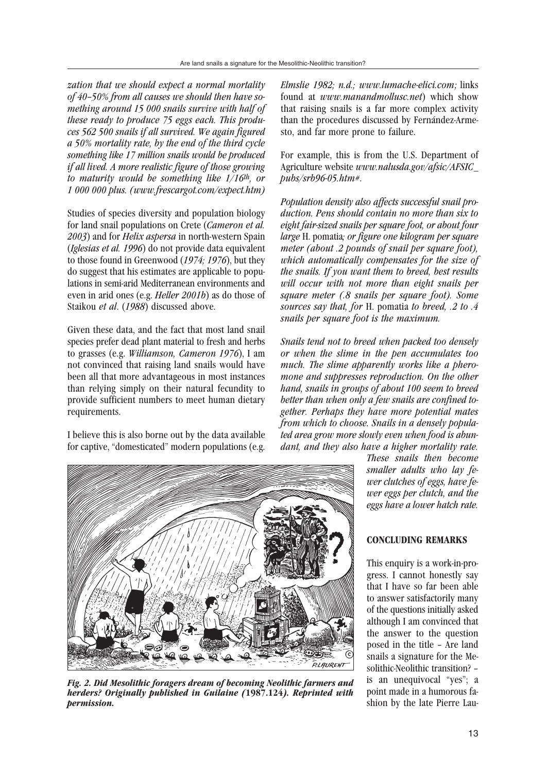*zation that we should expect a normal mortality of 40–50% from all causes we should then have something around 15 000 snails survive with half of these ready to produce 75 eggs each. This produces 562 500 snails if all survived. We again figured a 50% mortality rate, by the end of the third cycle something like 17 million snails would be produced if all lived. A more realistic figure of those growing to maturity would be something like 1/16th, or 1 000 000 plus. (www.frescargot.com/expect.htm)*

Studies of species diversity and population biology for land snail populations on Crete (*Cameron et al. 2003*) and for *Helix aspersa* in north-western Spain (*Iglesias et al. 1996*) do not provide data equivalent to those found in Greenwood (*1974; 1976*), but they do suggest that his estimates are applicable to populations in semi-arid Mediterranean environments and even in arid ones (e.g. *Heller 2001b*) as do those of Staikou *et al*. (*1988*) discussed above.

Given these data, and the fact that most land snail species prefer dead plant material to fresh and herbs to grasses (e.g. *Williamson, Cameron 1976*), I am not convinced that raising land snails would have been all that more advantageous in most instances than relying simply on their natural fecundity to provide sufficient numbers to meet human dietary requirements.

I believe this is also borne out by the data available for captive, "domesticated" modern populations (e.g. *Elmslie 1982; n.d.; www.lumache-elici.com*; links found at *www.manandmollusc.net*) which show that raising snails is a far more complex activity than the procedures discussed by Fernández-Armesto, and far more prone to failure.

For example, this is from the U.S. Department of Agriculture website *www.nalusda.gov/afsic/AFSIC\_ pubs/srb96-05.htm#*.

*Population density also affects successful snail production. Pens should contain no more than six to eight fair-sized snails per square foot, or about four large* H. pomatia*; or figure one kilogram per square meter (about .2 pounds of snail per square foot), which automatically compensates for the size of the snails. If you want them to breed, best results will occur with not more than eight snails per square meter (.8 snails per square foot). Some sources say that, for* H. pomatia *to breed, .2 to .4 snails per square foot is the maximum.*

*Snails tend not to breed when packed too densely or when the slime in the pen accumulates too much. The slime apparently works like a pheromone and suppresses reproduction. On the other hand, snails in groups of about 100 seem to breed better than when only a few snails are confined together. Perhaps they have more potential mates from which to choose. Snails in a densely populated area grow more slowly even when food is abundant, and they also have a higher mortality rate.*



*Fig. 2. Did Mesolithic foragers dream of becoming Neolithic farmers and herders? Originally published in Guilaine (***1987.124***). Reprinted with permission.*

*These snails then become smaller adults who lay fewer clutches of eggs, have fewer eggs per clutch, and the eggs have a lower hatch rate.*

# **CONCLUDING REMARKS**

This enquiry is a work-in-progress. I cannot honestly say that I have so far been able to answer satisfactorily many of the questions initially asked although I am convinced that the answer to the question posed in the title – Are land snails a signature for the Mesolithic-Neolithic transition? – is an unequivocal "yes"; a point made in a humorous fashion by the late Pierre Lau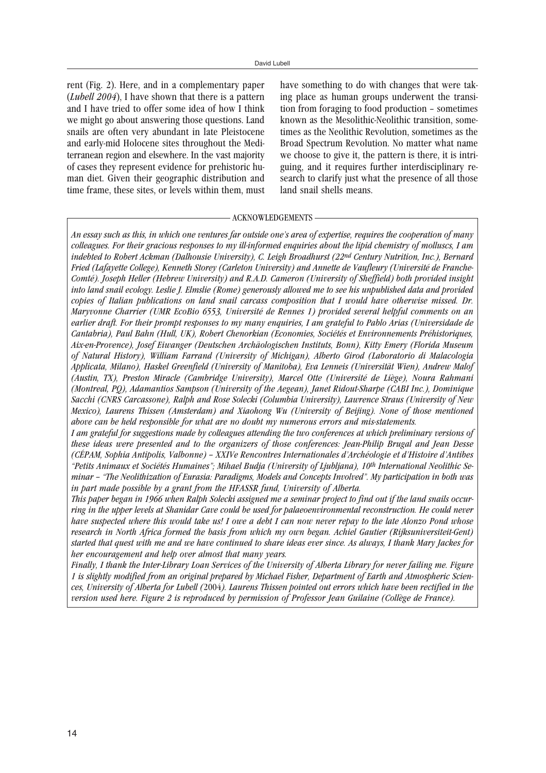rent (Fig. 2). Here, and in a complementary paper (*Lubell 2004*), I have shown that there is a pattern and I have tried to offer some idea of how I think we might go about answering those questions. Land snails are often very abundant in late Pleistocene and early-mid Holocene sites throughout the Mediterranean region and elsewhere. In the vast majority of cases they represent evidence for prehistoric human diet. Given their geographic distribution and time frame, these sites, or levels within them, must have something to do with changes that were taking place as human groups underwent the transition from foraging to food production – sometimes known as the Mesolithic-Neolithic transition, sometimes as the Neolithic Revolution, sometimes as the Broad Spectrum Revolution. No matter what name we choose to give it, the pattern is there, it is intriguing, and it requires further interdisciplinary research to clarify just what the presence of all those land snail shells means.

#### - ACKNOWLEDGEMENTS -

*An essay such as this, in which one ventures far outside one's area of expertise, requires the cooperation of many colleagues. For their gracious responses to my ill-informed enquiries about the lipid chemistry of molluscs, I am indebted to Robert Ackman (Dalhousie University), C. Leigh Broadhurst (22nd Century Nutrition, Inc.), Bernard Fried (Lafayette College), Kenneth Storey (Carleton University) and Annette de Vaufleury (Université de Franche-Comté). Joseph Heller (Hebrew University) and R.A.D. Cameron (University of Sheffield) both provided insight into land snail ecology. Leslie J. Elmslie (Rome) generously allowed me to see his unpublished data and provided copies of Italian publications on land snail carcass composition that I would have otherwise missed. Dr. Maryvonne Charrier (UMR EcoBio 6553, Université de Rennes 1) provided several helpful comments on an earlier draft. For their prompt responses to my many enquiries, I am grateful to Pablo Arias (Universidade de Cantabria), Paul Bahn (Hull, UK), Robert Chenorkian (Economies, Sociétés et Environnements Préhistoriques, Aix-en-Provence), Josef Eiwanger (Deutschen Archäologischen Instituts, Bonn), Kitty Emery (Florida Museum of Natural History), William Farrand (University of Michigan), Alberto Girod (Laboratorio di Malacologia Applicata, Milano), Haskel Greenfield (University of Manitoba), Eva Lenneis (Universität Wien), Andrew Malof (Austin, TX), Preston Miracle (Cambridge University), Marcel Otte (Université de Liège), Noura Rahmani (Montreal, PQ), Adamantios Sampson (University of the Aegean), Janet Ridout-Sharpe (CABI Inc.), Dominique Sacchi (CNRS Carcassone), Ralph and Rose Solecki (Columbia University), Lawrence Straus (University of New Mexico), Laurens Thissen (Amsterdam) and Xiaohong Wu (University of Beijing). None of those mentioned above can be held responsible for what are no doubt my numerous errors and mis-statements.*

*I am grateful for suggestions made by colleagues attending the two conferences at which preliminary versions of these ideas were presented and to the organizers of those conferences: Jean-Philip Brugal and Jean Desse (CÉPAM, Sophia Antipolis, Valbonne) – XXIVe Rencontres Internationales d'Archéologie et d'Histoire d'Antibes "Petits Animaux et Sociétés Humaines"; Mihael Budja (University of Ljubljana), 10th International Neolithic Seminar – "The Neolithization of Eurasia: Paradigms, Models and Concepts Involved". My participation in both was in part made possible by a grant from the HFASSR fund, University of Alberta.*

*This paper began in 1966 when Ralph Solecki assigned me a seminar project to find out if the land snails occurring in the upper levels at Shanidar Cave could be used for palaeoenvironmental reconstruction. He could never have suspected where this would take us! I owe a debt I can now never repay to the late Alonzo Pond whose research in North Africa formed the basis from which my own began. Achiel Gautier (Rijksuniversiteit-Gent) started that quest with me and we have continued to share ideas ever since. As always, I thank Mary Jackes for her encouragement and help over almost that many years.*

*Finally, I thank the Inter-Library Loan Services of the University of Alberta Library for never failing me. Figure 1 is slightly modified from an original prepared by Michael Fisher, Department of Earth and Atmospheric Sciences, University of Alberta for Lubell (*2004*). Laurens Thissen pointed out errors which have been rectified in the version used here. Figure 2 is reproduced by permission of Professor Jean Guilaine (Collège de France).*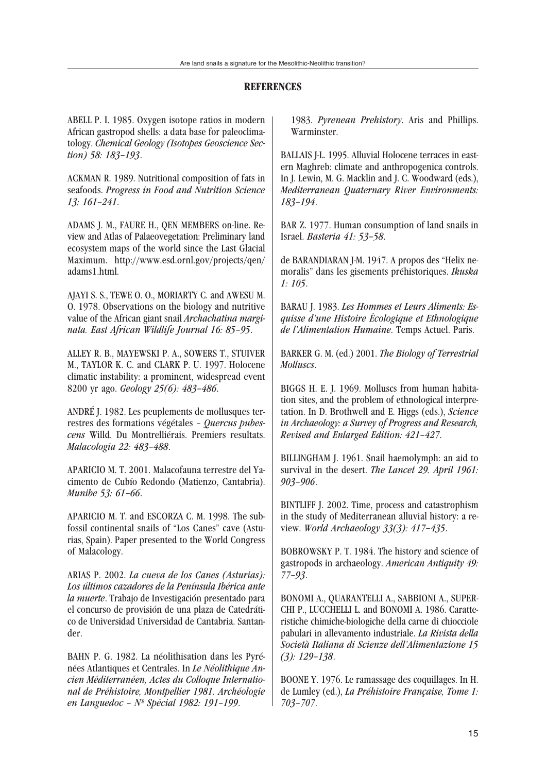# **REFERENCES**

ABELL P. I. 1985. Oxygen isotope ratios in modern African gastropod shells: a data base for paleoclimatology. *Chemical Geology (Isotopes Geoscience Section) 58: 183–193*.

ACKMAN R. 1989. Nutritional composition of fats in seafoods. *Progress in Food and Nutrition Science 13: 161–241*.

ADAMS J. M., FAURE H., QEN MEMBERS on-line. Review and Atlas of Palaeovegetation: Preliminary land ecosystem maps of the world since the Last Glacial Maximum. http://www.esd.ornl.gov/projects/qen/ adams1.html.

AJAYI S. S., TEWE O. O., MORIARTY C. and AWESU M. O. 1978. Observations on the biology and nutritive value of the African giant snail *Archachatina marginata. East African Wildlife Journal 16: 85–95*.

ALLEY R. B., MAYEWSKI P. A., SOWERS T., STUIVER M., TAYLOR K. C. and CLARK P. U. 1997. Holocene climatic instability: a prominent, widespread event 8200 yr ago. *Geology 25(6): 483–486*.

ANDRÉ J. 1982. Les peuplements de mollusques terrestres des formations végétales – *Quercus pubescens* Willd. Du Montrelliérais. Premiers resultats. *Malacologia 22: 483–488*.

APARICIO M. T. 2001. Malacofauna terrestre del Yacimento de Cubío Redondo (Matienzo, Cantabria). *Munibe 53: 61–66*.

APARICIO M. T. and ESCORZA C. M. 1998. The subfossil continental snails of "Los Canes" cave (Asturias, Spain). Paper presented to the World Congress of Malacology.

ARIAS P. 2002. *La cueva de los Canes (Asturias): Los últimos cazadores de la Península Ibérica ante la muerte*. Trabajo de Investigación presentado para el concurso de provisión de una plaza de Catedrático de Universidad Universidad de Cantabria. Santander.

BAHN P. G. 1982. La néolithisation dans les Pyrénées Atlantiques et Centrales. In *Le Néolithique Ancien Méditerranéen, Actes du Colloque International de Préhistoire, Montpellier 1981. Archéologie en Languedoc – Nº Spécial 1982: 191–199*.

1983. *Pyrenean Prehistory*. Aris and Phillips. Warminster.

BALLAIS J-L. 1995. Alluvial Holocene terraces in eastern Maghreb: climate and anthropogenica controls. In J. Lewin, M. G. Macklin and J. C. Woodward (eds.), *Mediterranean Quaternary River Environments: 183–194*.

BAR Z. 1977. Human consumption of land snails in Israel. *Basteria 41: 53–58*.

de BARANDIARAN J-M. 1947. A propos des "Helix nemoralis" dans les gisements préhistoriques. *Ikuska 1: 105*.

BARAU J. 1983. *Les Hommes et Leurs Aliments: Esquisse d'une Histoire Écologique et Ethnologique de l'Alimentation Humaine*. Temps Actuel. Paris.

BARKER G. M. (ed.) 2001. *The Biology of Terrestrial Molluscs*.

BIGGS H. E. J. 1969. Molluscs from human habitation sites, and the problem of ethnological interpretation. In D. Brothwell and E. Higgs (eds.), *Science in Archaeology: a Survey of Progress and Research, Revised and Enlarged Edition: 421–427*.

BILLINGHAM J. 1961. Snail haemolymph: an aid to survival in the desert. *The Lancet 29. April 1961: 903–906*.

BINTLIFF J. 2002. Time, process and catastrophism in the study of Mediterranean alluvial history: a review. *World Archaeology 33(3): 417–435*.

BOBROWSKY P. T. 1984. The history and science of gastropods in archaeology. *American Antiquity 49: 77–93*.

BONOMI A., QUARANTELLI A., SABBIONI A., SUPER-CHI P., LUCCHELLI L. and BONOMI A. 1986. Caratteristiche chimiche-biologiche della carne di chiocciole pabulari in allevamento industriale. *La Rivista della Società Italiana di Scienze dell'Alimentazione 15 (3): 129–138*.

BOONE Y. 1976. Le ramassage des coquillages. In H. de Lumley (ed.), *La Préhistoire Française, Tome 1: 703–707*.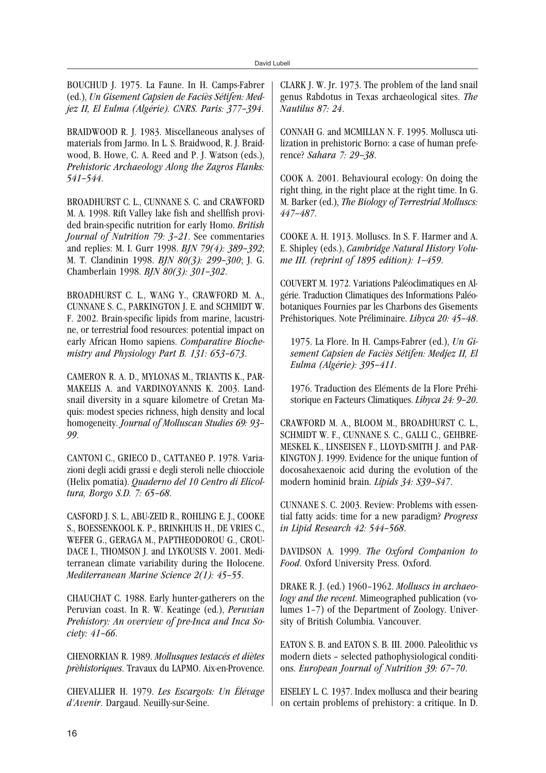BOUCHUD J. 1975. La Faune. In H. Camps-Fabrer (ed.), *Un Gisement Capsien de Faciès Sétifen: Medjez II, El Eulma (Algérie). CNRS. Paris: 377–394*.

BRAIDWOOD R. J. 1983. Miscellaneous analyses of materials from Jarmo. In L. S. Braidwood, R. J. Braidwood, B. Howe, C. A. Reed and P. J. Watson (eds.), *Prehistoric Archaeology Along the Zagros Flanks: 541–544*.

BROADHURST C. L., CUNNANE S. C. and CRAWFORD M. A. 1998. Rift Valley lake fish and shellfish provided brain-specific nutrition for early Homo. *British Journal of Nutrition 79: 3–21*. See commentaries and replies: M. I. Gurr 1998. *BJN 79(4): 389–392*; M. T. Clandinin 1998. *BJN 80(3): 299–300*; J. G. Chamberlain 1998. *BJN 80(3): 301–302*.

BROADHURST C. L., WANG Y., CRAWFORD M. A., CUNNANE S. C., PARKINGTON J. E. and SCHMIDT W. F. 2002. Brain-specific lipids from marine, lacustrine, or terrestrial food resources: potential impact on early African Homo sapiens. *Comparative Biochemistry and Physiology Part B. 131: 653–673*.

CAMERON R. A. D., MYLONAS M., TRIANTIS K., PAR-MAKELIS A. and VARDINOYANNIS K. 2003. Landsnail diversity in a square kilometre of Cretan Maquis: modest species richness, high density and local homogeneity. *Journal of Molluscan Studies 69: 93– 99*.

CANTONI C., GRIECO D., CATTANEO P. 1978. Variazioni degli acidi grassi e degli steroli nelle chiocciole (Helix pomatia). *Quaderno del 10 Centro di Elicoltura, Borgo S.D. 7: 65–68*.

CASFORD J. S. L., ABU-ZEID R., ROHLING E. J., COOKE S., BOESSENKOOL K. P., BRINKHUIS H., DE VRIES C., WEFER G., GERAGA M., PAPTHEODOROU G., CROU-DACE I., THOMSON J. and LYKOUSIS V. 2001. Mediterranean climate variability during the Holocene. *Mediterranean Marine Science 2(1): 45–55*.

CHAUCHAT C. 1988. Early hunter-gatherers on the Peruvian coast. In R. W. Keatinge (ed.), *Peruvian Prehistory: An overview of pre-Inca and Inca Society: 41–66*.

CHENORKIAN R. 1989. *Mollusques testacés et diètes prèhistoriques*. Travaux du LAPMO. Aix-en-Provence.

CHEVALLIER H. 1979. *Les Escargots: Un Élévage d'Avenir*. Dargaud. Neuilly-sur-Seine.

CLARK J. W. Jr. 1973. The problem of the land snail genus Rabdotus in Texas archaeological sites. *The Nautilus 87: 24*.

CONNAH G. and MCMILLAN N. F. 1995. Mollusca utilization in prehistoric Borno: a case of human preference? *Sahara 7: 29–38*.

COOK A. 2001. Behavioural ecology: On doing the right thing, in the right place at the right time. In G. M. Barker (ed.), *The Biology of Terrestrial Molluscs: 447–487*.

COOKE A. H. 1913. Molluscs. In S. F. Harmer and A. E. Shipley (eds.), *Cambridge Natural History Volume III. (reprint of 1895 edition): 1–459*.

COUVERT M. 1972. Variations Paléoclimatiques en Algérie. Traduction Climatiques des Informations Paléobotaniques Fournies par les Charbons des Gisements Préhistoriques. Note Préliminaire. *Libyca 20: 45–48*.

1975. La Flore. In H. Camps-Fabrer (ed.), *Un Gisement Capsien de Faciès Sétifen: Medjez II, El Eulma (Algérie): 395–411*.

1976. Traduction des Eléments de la Flore Préhistorique en Facteurs Climatiques. *Libyca 24: 9–20*.

CRAWFORD M. A., BLOOM M., BROADHURST C. L., SCHMIDT W. F., CUNNANE S. C., GALLI C., GEHBRE-MESKEL K., LINSEISEN F., LLOYD-SMITH J. and PAR-KINGTON J. 1999. Evidence for the unique funtion of docosahexaenoic acid during the evolution of the modern hominid brain. *Lipids 34: S39–S47*.

CUNNANE S. C. 2003. Review: Problems with essential fatty acids: time for a new paradigm? *Progress in Lipid Research 42: 544–568*.

DAVIDSON A. 1999. *The Oxford Companion to Food*. Oxford University Press. Oxford.

DRAKE R. J. (ed.) 1960–1962. *Molluscs in archaeology and the recent*. Mimeographed publication (volumes 1–7) of the Department of Zoology. University of British Columbia. Vancouver.

EATON S. B. and EATON S. B. III. 2000. Paleolithic vs modern diets – selected pathophysiological conditions. *European Journal of Nutrition 39: 67–70*.

EISELEY L. C. 1937. Index mollusca and their bearing on certain problems of prehistory: a critique. In D.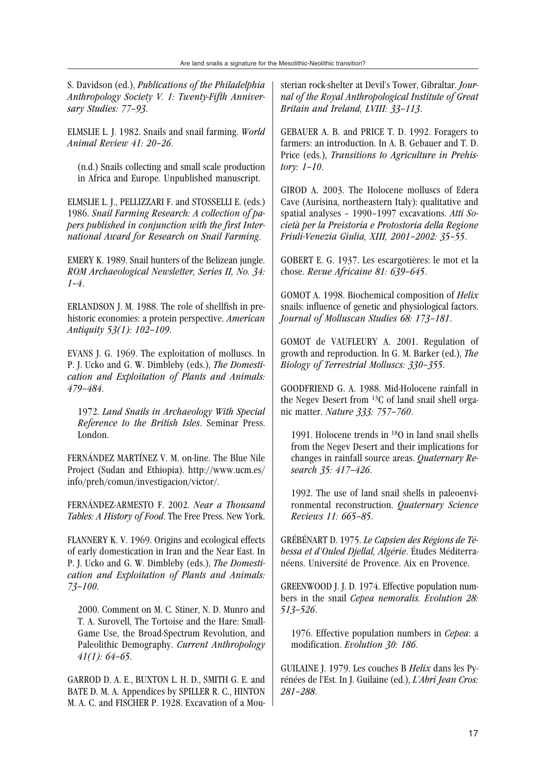S. Davidson (ed.), *Publications of the Philadelphia Anthropology Society V. 1: Twenty-Fifth Anniversary Studies: 77–93*.

ELMSLIE L. J. 1982. Snails and snail farming. *World Animal Review 41: 20–26*.

(n.d.) Snails collecting and small scale production in Africa and Europe. Unpublished manuscript.

ELMSLIE L. J., PELLIZZARI F. and STOSSELLI E. (eds.) 1986. *Snail Farming Research: A collection of papers published in conjunction with the first International Award for Research on Snail Farming*.

EMERY K. 1989. Snail hunters of the Belizean jungle. *ROM Archaeological Newsletter, Series II, No. 34: 1–4*.

ERLANDSON J. M. 1988. The role of shellfish in prehistoric economies: a protein perspective. *American Antiquity 53(1): 102–109*.

EVANS J. G. 1969. The exploitation of molluscs. In P. J. Ucko and G. W. Dimbleby (eds.), *The Domestication and Exploitation of Plants and Animals: 479–484*.

1972. *Land Snails in Archaeology With Special Reference to the British Isles*. Seminar Press. London.

FERNÁNDEZ MARTÍNEZ V. M. on-line. The Blue Nile Project (Sudan and Ethiopia). http://www.ucm.es/ info/preh/comun/investigacion/victor/.

FERNÁNDEZ-ARMESTO F. 2002. *Near a Thousand Tables: A History of Food*. The Free Press. New York.

FLANNERY K. V. 1969. Origins and ecological effects of early domestication in Iran and the Near East. In P. J. Ucko and G. W. Dimbleby (eds.), *The Domestication and Exploitation of Plants and Animals: 73–100*.

2000. Comment on M. C. Stiner, N. D. Munro and T. A. Surovell, The Tortoise and the Hare: Small-Game Use, the Broad-Spectrum Revolution, and Paleolithic Demography. *Current Anthropology 41(1): 64–65*.

GARROD D. A. E., BUXTON L. H. D., SMITH G. E. and BATE D. M. A. Appendices by SPILLER R. C., HINTON M. A. C. and FISCHER P. 1928. Excavation of a Mousterian rock-shelter at Devil's Tower, Gibraltar. *Journal of the Royal Anthropological Institute of Great Britain and Ireland, LVIII: 33–113*.

GEBAUER A. B. and PRICE T. D. 1992. Foragers to farmers: an introduction. In A. B. Gebauer and T. D. Price (eds.), *Transitions to Agriculture in Prehistory: 1–10*.

GIROD A. 2003. The Holocene molluscs of Edera Cave (Aurisina, northeastern Italy): qualitative and spatial analyses – 1990–1997 excavations. *Atti Società per la Preistoria e Protostoria della Regione Friuli-Venezia Giulia, XIII, 2001–2002: 35–55*.

GOBERT E. G. 1937. Les escargotières: le mot et la chose. *Revue Africaine 81: 639–645*.

GOMOT A. 1998. Biochemical composition of *Helix* snails: influence of genetic and physiological factors. *Journal of Molluscan Studies 68: 173–181*.

GOMOT de VAUFLEURY A. 2001. Regulation of growth and reproduction. In G. M. Barker (ed.), *The Biology of Terrestrial Molluscs: 330–355*.

GOODFRIEND G. A. 1988. Mid-Holocene rainfall in the Negev Desert from 13C of land snail shell organic matter. *Nature 333: 757–760*.

1991. Holocene trends in 18O in land snail shells from the Negev Desert and their implications for changes in rainfall source areas. *Quaternary Research 35: 417–426*.

1992. The use of land snail shells in paleoenvironmental reconstruction. *Quaternary Science Reviews 11: 665–85*.

GRÉBÉNART D. 1975. *Le Capsien des Régions de Tébessa et d'Ouled Djellal, Algérie*. Études Méditerranéens. Université de Provence. Aix en Provence.

GREENWOOD J. J. D. 1974. Effective population numbers in the snail *Cepea nemoralis. Evolution 28: 513–526*.

1976. Effective population numbers in *Cepea*: a modification. *Evolution 30: 186*.

GUILAINE J. 1979. Les couches B *Helix* dans les Pyrénées de l'Est. In J. Guilaine (ed.), *L'Abri Jean Cros: 281–288*.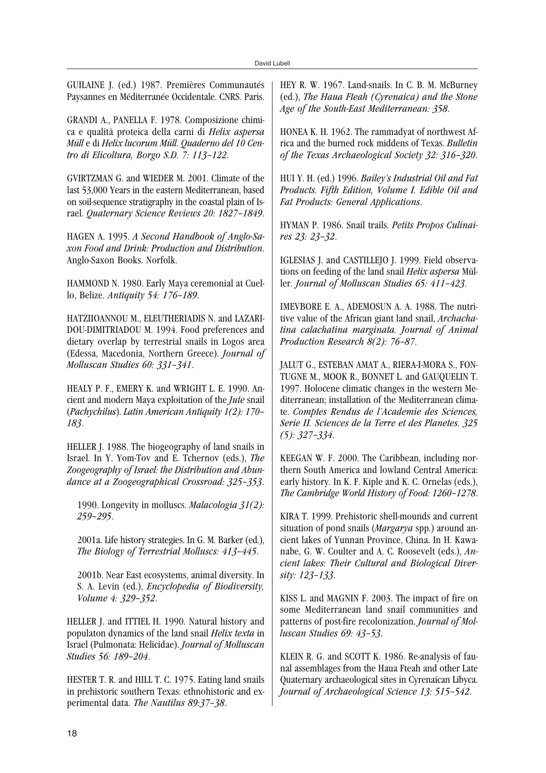GUILAINE J. (ed.) 1987. Premières Communautés Paysannes en Méditerranée Occidentale. CNRS. Paris.

GRANDI A., PANELLA F. 1978. Composizione chimica e qualità proteica della carni di *Helix aspersa Müll* e di *Helix lucorum Müll*. *Quaderno del 10 Centro di Elicoltura, Borgo S.D. 7: 113–122*.

GVIRTZMAN G. and WIEDER M. 2001. Climate of the last 53,000 Years in the eastern Mediterranean, based on soil-sequence stratigraphy in the coastal plain of Israel. *Quaternary Science Reviews 20: 1827–1849*.

HAGEN A. 1995. *A Second Handbook of Anglo-Saxon Food and Drink: Production and Distribution*. Anglo-Saxon Books. Norfolk.

HAMMOND N. 1980. Early Maya ceremonial at Cuello, Belize. *Antiquity 54: 176–189*.

HATZIIOANNOU M., ELEUTHERIADIS N. and LAZARI-DOU-DIMITRIADOU M. 1994. Food preferences and dietary overlap by terrestrial snails in Logos area (Edessa, Macedonia, Northern Greece). *Journal of Molluscan Studies 60: 331–341*.

HEALY P. F., EMERY K. and WRIGHT L. E. 1990. Ancient and modern Maya exploitation of the *Jute* snail (*Pachychilus*). *Latin American Antiquity 1(2): 170– 183*.

HELLER J. 1988. The biogeography of land snails in Israel. In Y. Yom-Tov and E. Tchernov (eds.), *The Zoogeography of Israel: the Distribution and Abundance at a Zoogeographical Crossroad: 325–353*.

1990. Longevity in molluscs. *Malacologia 31(2): 259–295*.

2001a. Life history strategies. In G. M. Barker (ed.), *The Biology of Terrestrial Molluscs: 413–445*.

2001b. Near East ecosystems, animal diversity. In S. A. Levin (ed.), *Encyclopedia of Biodiversity, Volume 4: 329–352*.

HELLER J. and ITTIEL H. 1990. Natural history and populaton dynamics of the land snail *Helix texta* in Israel (Pulmonata: Helicidae). *Journal of Molluscan Studies 56: 189–204*.

HESTER T. R. and HILL T. C. 1975. Eating land snails in prehistoric southern Texas: ethnohistoric and experimental data. *The Nautilus 89:37–38*.

HEY R. W. 1967. Land-snails. In C. B. M. McBurney (ed.), *The Haua Fteah (Cyrenaica) and the Stone Age of the South-East Mediterranean: 358*.

HONEA K. H. 1962. The rammadyat of northwest Africa and the burned rock middens of Texas. *Bulletin of the Texas Archaeological Society 32: 316–320*.

HUI Y. H. (ed.) 1996. *Bailey's Industrial Oil and Fat Products. Fifth Edition, Volume I. Edible Oil and Fat Products: General Applications*.

HYMAN P. 1986. Snail trails. *Petits Propos Culinaires 23: 23–32*.

IGLESIAS J. and CASTILLEJO J. 1999. Field observations on feeding of the land snail *Helix aspersa* Müller. *Journal of Molluscan Studies 65: 411–423*.

IMEVBORE E. A., ADEMOSUN A. A. 1988. The nutritive value of the African giant land snail, *Archachatina calachatina marginata. Journal of Animal Production Research 8(2): 76–87*.

JALUT G., ESTEBAN AMAT A., RIERA-I-MORA S., FON-TUGNE M., MOOK R., BONNET L. and GAUQUELIN T. 1997. Holocene climatic changes in the western Mediterranean; installation of the Mediterranean climate. *Comptes Rendus de l'Academie des Sciences, Serie II. Sciences de la Terre et des Planetes. 325 (5): 327–334*.

KEEGAN W. F. 2000. The Caribbean, including northern South America and lowland Central America: early history. In K. F. Kiple and K. C. Ornelas (eds.), *The Cambridge World History of Food: 1260–1278*.

KIRA T. 1999. Prehistoric shell-mounds and current situation of pond snails (*Margarya* spp.) around ancient lakes of Yunnan Province, China. In H. Kawanabe, G. W. Coulter and A. C. Roosevelt (eds.), *Ancient lakes: Their Cultural and Biological Diversity: 123–133*.

KISS L. and MAGNIN F. 2003. The impact of fire on some Mediterranean land snail communities and patterns of post-fire recolonization. *Journal of Molluscan Studies 69: 43–53*.

KLEIN R. G. and SCOTT K. 1986. Re-analysis of faunal assemblages from the Haua Fteah and other Late Quaternary archaeological sites in Cyrenaïcan Libyca. *Journal of Archaeological Science 13: 515–542*.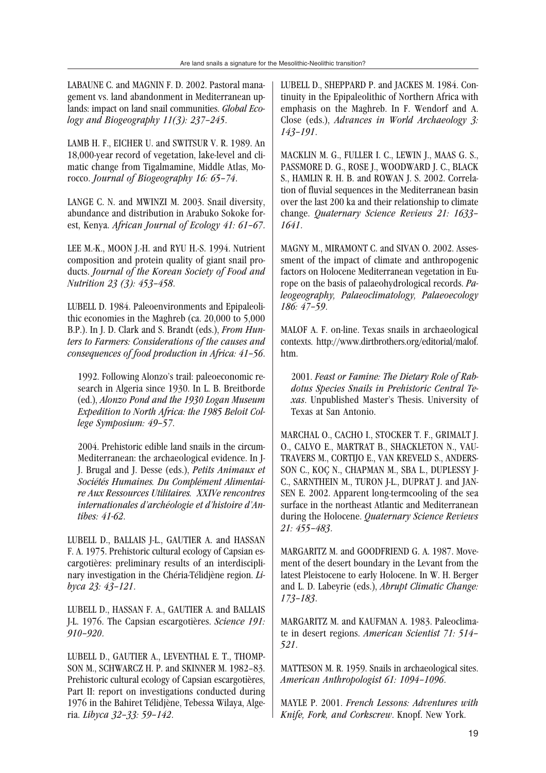LABAUNE C. and MAGNIN F. D. 2002. Pastoral management vs. land abandonment in Mediterranean uplands: impact on land snail communities. *Global Ecology and Biogeography 11(3): 237–245*.

LAMB H. F., EICHER U. and SWITSUR V. R. 1989. An 18,000-year record of vegetation, lake-level and climatic change from Tigalmamine, Middle Atlas, Morocco. *Journal of Biogeography 16: 65–74*.

LANGE C. N. and MWINZI M. 2003. Snail diversity, abundance and distribution in Arabuko Sokoke forest, Kenya. *African Journal of Ecology 41: 61–67*.

LEE M.-K., MOON J.-H. and RYU H.-S. 1994. Nutrient composition and protein quality of giant snail products. *Journal of the Korean Society of Food and Nutrition 23 (3): 453–458*.

LUBELL D. 1984. Paleoenvironments and Epipaleolithic economies in the Maghreb (ca. 20,000 to 5,000 B.P.). In J. D. Clark and S. Brandt (eds.), *From Hunters to Farmers: Considerations of the causes and consequences of food production in Africa: 41–56*.

1992. Following Alonzo's trail: paleoeconomic research in Algeria since 1930. In L. B. Breitborde (ed.), *Alonzo Pond and the 1930 Logan Museum Expedition to North Africa: the 1985 Beloit College Symposium: 49–57*.

2004. Prehistoric edible land snails in the circum-Mediterranean: the archaeological evidence. In J-J. Brugal and J. Desse (eds.), *Petits Animaux et Sociétés Humaines. Du Complément Alimentaire Aux Ressources Utilitaires. XXIVe rencontres internationales d'archéologie et d'histoire d'Antibes: 41-62*.

LUBELL D., BALLAIS J-L., GAUTIER A. and HASSAN F. A. 1975. Prehistoric cultural ecology of Capsian escargotières: preliminary results of an interdisciplinary investigation in the Chéria-Télidjène region. *Libyca 23: 43–121*.

LUBELL D., HASSAN F. A., GAUTIER A. and BALLAIS J-L. 1976. The Capsian escargotières. *Science 191: 910–920*.

LUBELL D., GAUTIER A., LEVENTHAL E. T., THOMP-SON M., SCHWARCZ H. P. and SKINNER M. 1982–83. Prehistoric cultural ecology of Capsian escargotières, Part II: report on investigations conducted during 1976 in the Bahiret Télidjène, Tebessa Wilaya, Algeria. *Libyca 32–33: 59–142*.

LUBELL D., SHEPPARD P. and JACKES M. 1984. Continuity in the Epipaleolithic of Northern Africa with emphasis on the Maghreb. In F. Wendorf and A. Close (eds.), *Advances in World Archaeology 3: 143–191*.

MACKLIN M. G., FULLER I. C., LEWIN J., MAAS G. S., PASSMORE D. G., ROSE J., WOODWARD J. C., BLACK S., HAMLIN R. H. B. and ROWAN J. S. 2002. Correlation of fluvial sequences in the Mediterranean basin over the last 200 ka and their relationship to climate change. *Quaternary Science Reviews 21: 1633– 1641*.

MAGNY M., MIRAMONT C. and SIVAN O. 2002. Assessment of the impact of climate and anthropogenic factors on Holocene Mediterranean vegetation in Europe on the basis of palaeohydrological records. *Paleogeography, Palaeoclimatology, Palaeoecology 186: 47–59*.

MALOF A. F. on-line. Texas snails in archaeological contexts. http://www.dirtbrothers.org/editorial/malof. htm.

2001. *Feast or Famine: The Dietary Role of Rabdotus Species Snails in Prehistoric Central Texas*. Unpublished Master's Thesis. University of Texas at San Antonio.

MARCHAL O., CACHO I., STOCKER T. F., GRIMALT J. O., CALVO E., MARTRAT B., SHACKLETON N., VAU-TRAVERS M., CORTIJO E., VAN KREVELD S., ANDERS-SON C., KOÇ N., CHAPMAN M., SBA L., DUPLESSY J-C., SARNTHEIN M., TURON J-L., DUPRAT J. and JAN-SEN E. 2002. Apparent long-termcooling of the sea surface in the northeast Atlantic and Mediterranean during the Holocene. *Quaternary Science Reviews 21: 455–483*.

MARGARITZ M. and GOODFRIEND G. A. 1987. Movement of the desert boundary in the Levant from the latest Pleistocene to early Holocene. In W. H. Berger and L. D. Labeyrie (eds.), *Abrupt Climatic Change: 173–183*.

MARGARITZ M. and KAUFMAN A. 1983. Paleoclimate in desert regions. *American Scientist 71: 514– 521*.

MATTESON M. R. 1959. Snails in archaeological sites. *American Anthropologist 61: 1094–1096*.

MAYLE P. 2001. *French Lessons: Adventures with Knife, Fork, and Corkscrew*. Knopf. New York.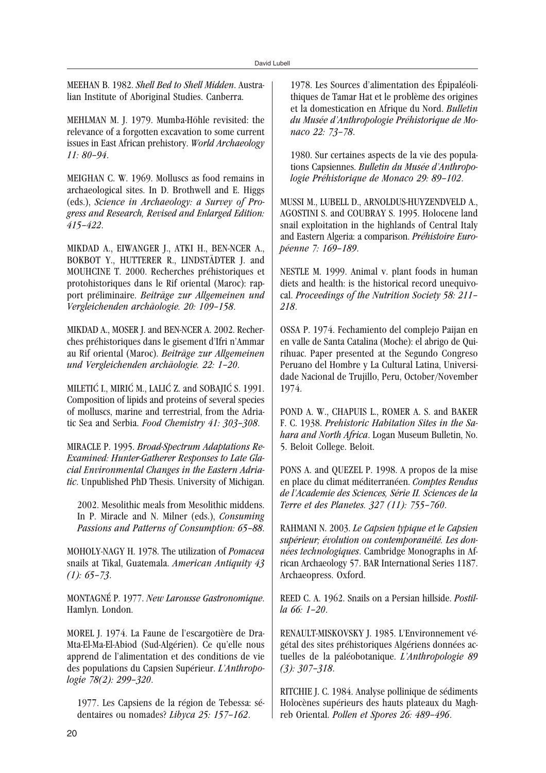MEEHAN B. 1982. *Shell Bed to Shell Midden*. Australian Institute of Aboriginal Studies. Canberra.

MEHLMAN M. J. 1979. Mumba-Höhle revisited: the relevance of a forgotten excavation to some current issues in East African prehistory. *World Archaeology 11: 80–94*.

MEIGHAN C. W. 1969. Molluscs as food remains in archaeological sites. In D. Brothwell and E. Higgs (eds.), *Science in Archaeology: a Survey of Progress and Research, Revised and Enlarged Edition: 415–422*.

MIKDAD A., EIWANGER J., ATKI H., BEN-NCER A., BOKBOT Y., HUTTERER R., LINDSTÄDTER J. and MOUHCINE T. 2000. Recherches préhistoriques et protohistoriques dans le Rif oriental (Maroc): rapport préliminaire. *Beiträge zur Allgemeinen und Vergleichenden archäologie. 20: 109–158*.

MIKDAD A., MOSER J. and BEN-NCER A. 2002. Recherches préhistoriques dans le gisement d'Ifri n'Ammar au Rif oriental (Maroc). *Beiträge zur Allgemeinen und Vergleichenden archäologie. 22: 1–20*.

MILETIĆ I., MIRIĆ M., LALIĆ Z. and SOBAJIĆ S. 1991. Composition of lipids and proteins of several species of molluscs, marine and terrestrial, from the Adriatic Sea and Serbia. *Food Chemistry 41: 303–308*.

MIRACLE P. 1995. *Broad-Spectrum Adaptations Re-Examined: Hunter-Gatherer Responses to Late Glacial Environmental Changes in the Eastern Adriatic*. Unpublished PhD Thesis. University of Michigan.

2002. Mesolithic meals from Mesolithic middens. In P. Miracle and N. Milner (eds.), *Consuming Passions and Patterns of Consumption: 65–88*.

MOHOLY-NAGY H. 1978. The utilization of *Pomacea* snails at Tikal, Guatemala. *American Antiquity 43 (1): 65–73*.

MONTAGNÉ P. 1977. *New Larousse Gastronomique*. Hamlyn. London.

MOREL J. 1974. La Faune de l'escargotière de Dra-Mta-El-Ma-El-Abiod (Sud-Algérien). Ce qu'elle nous apprend de l'alimentation et des conditions de vie des populations du Capsien Supérieur. *L'Anthropologie 78(2): 299–320*.

1977. Les Capsiens de la région de Tebessa: sédentaires ou nomades? *Libyca 25: 157–162*.

1978. Les Sources d'alimentation des Épipaléolithiques de Tamar Hat et le problème des origines et la domestication en Afrique du Nord. *Bulletin du Musée d'Anthropologie Préhistorique de Monaco 22: 73–78*.

1980. Sur certaines aspects de la vie des populations Capsiennes. *Bulletin du Musée d'Anthropologie Préhistorique de Monaco 29: 89–102*.

MUSSI M., LUBELL D., ARNOLDUS-HUYZENDVELD A., AGOSTINI S. and COUBRAY S. 1995. Holocene land snail exploitation in the highlands of Central Italy and Eastern Algeria: a comparison. *Préhistoire Européenne 7: 169–189*.

NESTLE M. 1999. Animal v. plant foods in human diets and health: is the historical record unequivocal. *Proceedings of the Nutrition Society 58: 211– 218*.

OSSA P. 1974. Fechamiento del complejo Paijan en en valle de Santa Catalina (Moche): el abrigo de Quirihuac. Paper presented at the Segundo Congreso Peruano del Hombre y La Cultural Latina, Universidade Nacional de Trujillo, Peru, October/November 1974.

POND A. W., CHAPUIS L., ROMER A. S. and BAKER F. C. 1938. *Prehistoric Habitation Sites in the Sahara and North Africa*. Logan Museum Bulletin, No. 5. Beloit College. Beloit.

PONS A. and QUEZEL P. 1998. A propos de la mise en place du climat méditerranéen. *Comptes Rendus de l'Academie des Sciences, Série II. Sciences de la Terre et des Planetes. 327 (11): 755–760*.

RAHMANI N. 2003. *Le Capsien typique et le Capsien supérieur; évolution ou contemporanéité. Les données technologiques*. Cambridge Monographs in African Archaeology 57. BAR International Series 1187. Archaeopress. Oxford.

REED C. A. 1962. Snails on a Persian hillside. *Postilla 66: 1–20*.

RENAULT-MISKOVSKY J. 1985. L'Environnement végétal des sites préhistoriques Algériens données actuelles de la paléobotanique. *L'Anthropologie 89 (3): 307–318*.

RITCHIE J. C. 1984. Analyse pollinique de sédiments Holocènes supérieurs des hauts plateaux du Maghreb Oriental. *Pollen et Spores 26: 489–496*.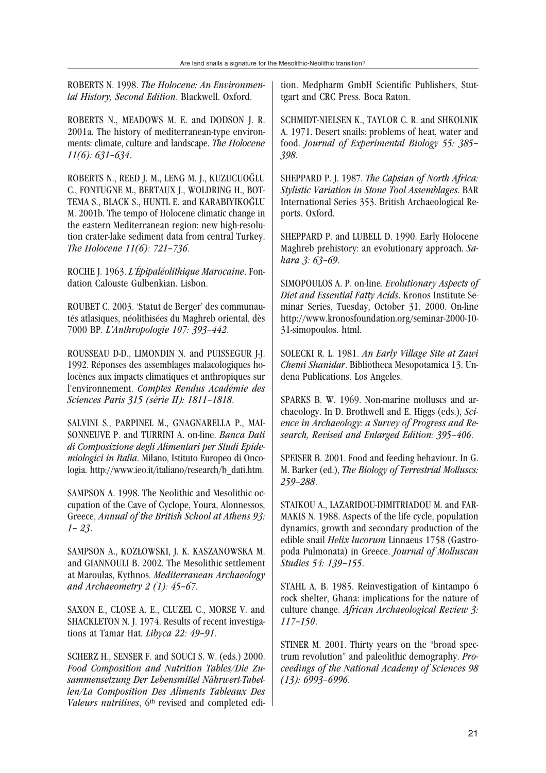ROBERTS N. 1998. *The Holocene: An Environmental History, Second Edition*. Blackwell. Oxford.

ROBERTS N., MEADOWS M. E. and DODSON J. R. 2001a. The history of mediterranean-type environments: climate, culture and landscape. *The Holocene 11(6): 631–634*.

ROBERTS N., REED J. M., LENG M. J., KUZUCUOGLU C., FONTUGNE M., BERTAUX J., WOLDRING H., BOT-TEMA S., BLACK S., HUNTL E. and KARABIYIKOGLU M. 2001b. The tempo of Holocene climatic change in the eastern Mediterranean region: new high-resolution crater-lake sediment data from central Turkey. *The Holocene 11(6): 721–736*.

ROCHE J. 1963. *L'Épipaléolithique Marocaine*. Fondation Calouste Gulbenkian. Lisbon.

ROUBET C. 2003. 'Statut de Berger' des communautés atlasiques, néolithisées du Maghreb oriental, dès 7000 BP. *L'Anthropologie 107: 393–442*.

ROUSSEAU D-D., LIMONDIN N. and PUISSEGUR J-J. 1992. Réponses des assemblages malacologiques holocènes aux impacts climatiques et anthropiques sur l'environnement. *Comptes Rendus Académie des Sciences Paris 315 (série II): 1811–1818*.

SALVINI S., PARPINEL M., GNAGNARELLA P., MAI-SONNEUVE P. and TURRINI A. on-line. *Banca Dati di Composizione degli Alimentari per Studi Epidemiologici in Italia*. Milano, Istituto Europeo di Oncologia. http://www.ieo.it/italiano/research/b\_dati.htm.

SAMPSON A. 1998. The Neolithic and Mesolithic occupation of the Cave of Cyclope, Youra, Alonnessos, Greece, *Annual of the British School at Athens 93: 1– 23*.

SAMPSON A., KOZŁOWSKI, J. K. KASZANOWSKA M. and GIANNOULI B. 2002. The Mesolithic settlement at Maroulas, Kythnos. *Mediterranean Archaeology and Archaeometry 2 (1): 45–67*.

SAXON E., CLOSE A. E., CLUZEL C., MORSE V. and SHACKLETON N. J. 1974. Results of recent investigations at Tamar Hat. *Libyca 22: 49–91*.

SCHERZ H., SENSER F. and SOUCI S. W. (eds.) 2000. *Food Composition and Nutrition Tables/Die Zusammensetzung Der Lebensmittel Nährwert-Tabellen/La Composition Des Aliments Tableaux Des Valeurs nutritives*, 6<sup>th</sup> revised and completed edition. Medpharm GmbH Scientific Publishers, Stuttgart and CRC Press. Boca Raton.

SCHMIDT-NIELSEN K., TAYLOR C. R. and SHKOLNIK A. 1971. Desert snails: problems of heat, water and food. *Journal of Experimental Biology 55: 385– 398*.

SHEPPARD P. J. 1987. *The Capsian of North Africa: Stylistic Variation in Stone Tool Assemblages*. BAR International Series 353. British Archaeological Reports. Oxford.

SHEPPARD P. and LUBELL D. 1990. Early Holocene Maghreb prehistory: an evolutionary approach. *Sahara 3: 63–69*.

SIMOPOULOS A. P. on-line. *Evolutionary Aspects of Diet and Essential Fatty Acids*. Kronos Institute Seminar Series, Tuesday, October 31, 2000. On-line http://www.kronosfoundation.org/seminar-2000-10- 31-simopoulos. html.

SOLECKI R. L. 1981. *An Early Village Site at Zawi Chemi Shanidar*. Bibliotheca Mesopotamica 13. Undena Publications. Los Angeles.

SPARKS B. W. 1969. Non-marine molluscs and archaeology. In D. Brothwell and E. Higgs (eds.), *Science in Archaeology: a Survey of Progress and Research, Revised and Enlarged Edition: 395–406*.

SPEISER B. 2001. Food and feeding behaviour. In G. M. Barker (ed.), *The Biology of Terrestrial Molluscs: 259–288*.

STAIKOU A., LAZARIDOU-DIMITRIADOU M. and FAR-MAKIS N. 1988. Aspects of the life cycle, population dynamics, growth and secondary production of the edible snail *Helix lucorum* Linnaeus 1758 (Gastropoda Pulmonata) in Greece. *Journal of Molluscan Studies 54: 139–155*.

STAHL A. B. 1985. Reinvestigation of Kintampo 6 rock shelter, Ghana: implications for the nature of culture change. *African Archaeological Review 3: 117–150*.

STINER M. 2001. Thirty years on the "broad spectrum revolution" and paleolithic demography. *Proceedings of the National Academy of Sciences 98 (13): 6993–6996*.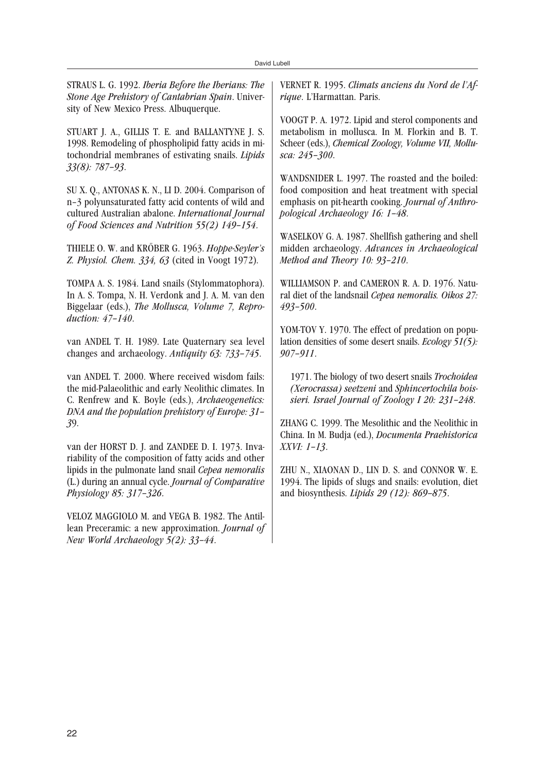STRAUS L. G. 1992. *Iberia Before the Iberians: The Stone Age Prehistory of Cantabrian Spain*. University of New Mexico Press. Albuquerque.

STUART J. A., GILLIS T. E. and BALLANTYNE J. S. 1998. Remodeling of phospholipid fatty acids in mitochondrial membranes of estivating snails. *Lipids 33(8): 787–93*.

SU X. Q., ANTONAS K. N., LI D. 2004. Comparison of n–3 polyunsaturated fatty acid contents of wild and cultured Australian abalone. *International Journal of Food Sciences and Nutrition 55(2) 149–154*.

THIELE O. W. and KRÖBER G. 1963. *Hoppe-Seyler's Z. Physiol. Chem. 334, 63* (cited in Voogt 1972).

TOMPA A. S. 1984. Land snails (Stylommatophora). In A. S. Tompa, N. H. Verdonk and J. A. M. van den Biggelaar (eds.), *The Mollusca, Volume 7, Reproduction: 47–140*.

van ANDEL T. H. 1989. Late Quaternary sea level changes and archaeology. *Antiquity 63: 733–745*.

van ANDEL T. 2000. Where received wisdom fails: the mid-Palaeolithic and early Neolithic climates. In C. Renfrew and K. Boyle (eds.), *Archaeogenetics: DNA and the population prehistory of Europe: 31– 3*9.

van der HORST D. J. and ZANDEE D. I. 1973. Invariability of the composition of fatty acids and other lipids in the pulmonate land snail *Cepea nemoralis* (L.) during an annual cycle. *Journal of Comparative Physiology 85: 317–326*.

VELOZ MAGGIOLO M. and VEGA B. 1982. The Antillean Preceramic: a new approximation. *Journal of New World Archaeology 5(2): 33–44*.

VERNET R. 1995. *Climats anciens du Nord de l'Afrique*. L'Harmattan. Paris.

VOOGT P. A. 1972. Lipid and sterol components and metabolism in mollusca. In M. Florkin and B. T. Scheer (eds.), *Chemical Zoology, Volume VII, Mollusca: 245–300*.

WANDSNIDER L. 1997. The roasted and the boiled: food composition and heat treatment with special emphasis on pit-hearth cooking. *Journal of Anthropological Archaeology 16: 1–48*.

WASELKOV G. A. 1987. Shellfish gathering and shell midden archaeology. *Advances in Archaeological Method and Theory 10: 93–210*.

WILLIAMSON P. and CAMERON R. A. D. 1976. Natural diet of the landsnail *Cepea nemoralis. Oikos 27: 493–500*.

YOM-TOV Y. 1970. The effect of predation on population densities of some desert snails. *Ecology 51(5): 907–911*.

1971. The biology of two desert snails *Trochoidea (Xerocrassa) seetzeni* and *Sphincertochila boissieri. Israel Journal of Zoology I 20: 231–248*.

ZHANG C. 1999. The Mesolithic and the Neolithic in China. In M. Budja (ed.), *Documenta Praehistorica XXVI: 1–13*.

ZHU N., XIAONAN D., LIN D. S. and CONNOR W. E. 1994. The lipids of slugs and snails: evolution, diet and biosynthesis. *Lipids 29 (12): 869–875*.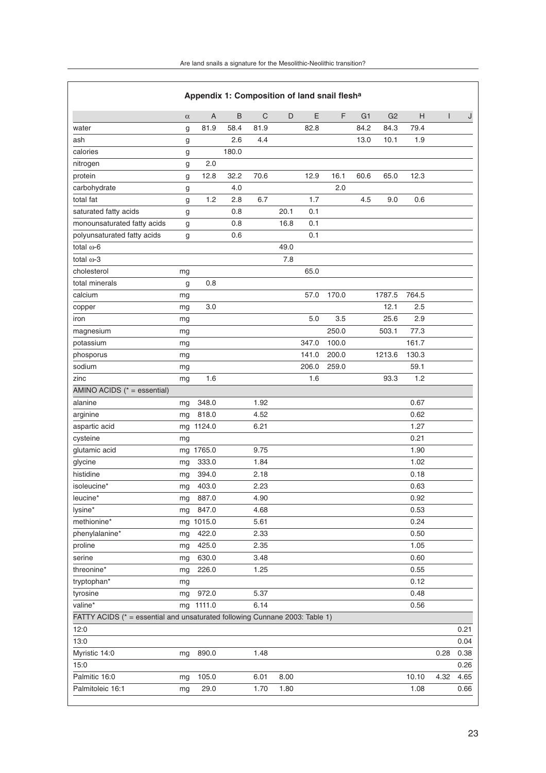| Appendix 1: Composition of land snail flesha                                |          |                |         |             |      |       |       |                |                |       |              |      |
|-----------------------------------------------------------------------------|----------|----------------|---------|-------------|------|-------|-------|----------------|----------------|-------|--------------|------|
|                                                                             | $\alpha$ | $\overline{A}$ | $\sf B$ | $\mathsf C$ | D    | E     | F     | G <sub>1</sub> | G <sub>2</sub> | H     | $\mathbf{I}$ | J    |
| water                                                                       | g        | 81.9           | 58.4    | 81.9        |      | 82.8  |       | 84.2           | 84.3           | 79.4  |              |      |
| ash                                                                         | g        |                | 2.6     | 4.4         |      |       |       | 13.0           | 10.1           | 1.9   |              |      |
| calories                                                                    | g        |                | 180.0   |             |      |       |       |                |                |       |              |      |
| nitrogen                                                                    | g        | 2.0            |         |             |      |       |       |                |                |       |              |      |
| protein                                                                     | g        | 12.8           | 32.2    | 70.6        |      | 12.9  | 16.1  | 60.6           | 65.0           | 12.3  |              |      |
| carbohydrate                                                                | g        |                | 4.0     |             |      |       | 2.0   |                |                |       |              |      |
| total fat                                                                   | g        | 1.2            | 2.8     | 6.7         |      | 1.7   |       | 4.5            | 9.0            | 0.6   |              |      |
| saturated fatty acids                                                       | g        |                | 0.8     |             | 20.1 | 0.1   |       |                |                |       |              |      |
| monounsaturated fatty acids                                                 | g        |                | 0.8     |             | 16.8 | 0.1   |       |                |                |       |              |      |
| polyunsaturated fatty acids                                                 | g        |                | 0.6     |             |      | 0.1   |       |                |                |       |              |      |
| total $\omega$ -6                                                           |          |                |         |             | 49.0 |       |       |                |                |       |              |      |
| total $\omega$ -3                                                           |          |                |         |             | 7.8  |       |       |                |                |       |              |      |
| cholesterol                                                                 | mg       |                |         |             |      | 65.0  |       |                |                |       |              |      |
| total minerals                                                              | g        | 0.8            |         |             |      |       |       |                |                |       |              |      |
| calcium                                                                     | mg       |                |         |             |      | 57.0  | 170.0 |                | 1787.5         | 764.5 |              |      |
| copper                                                                      | mg       | 3.0            |         |             |      |       |       |                | 12.1           | 2.5   |              |      |
| iron                                                                        | mg       |                |         |             |      | 5.0   | 3.5   |                | 25.6           | 2.9   |              |      |
| magnesium                                                                   | mg       |                |         |             |      |       | 250.0 |                | 503.1          | 77.3  |              |      |
| potassium                                                                   | mg       |                |         |             |      | 347.0 | 100.0 |                |                | 161.7 |              |      |
| phosporus                                                                   | mg       |                |         |             |      | 141.0 | 200.0 |                | 1213.6         | 130.3 |              |      |
| sodium                                                                      | mg       |                |         |             |      | 206.0 | 259.0 |                |                | 59.1  |              |      |
| zinc                                                                        | mg       | 1.6            |         |             |      | 1.6   |       |                | 93.3           | 1.2   |              |      |
| AMINO ACIDS (* = essential)                                                 |          |                |         |             |      |       |       |                |                |       |              |      |
| alanine                                                                     | mg       | 348.0          |         | 1.92        |      |       |       |                |                | 0.67  |              |      |
| arginine                                                                    | mg       | 818.0          |         | 4.52        |      |       |       |                |                | 0.62  |              |      |
| aspartic acid                                                               | mg       | 1124.0         |         | 6.21        |      |       |       |                |                | 1.27  |              |      |
| cysteine                                                                    | mg       |                |         |             |      |       |       |                |                | 0.21  |              |      |
| glutamic acid                                                               |          | mg 1765.0      |         | 9.75        |      |       |       |                |                | 1.90  |              |      |
| glycine                                                                     | mg       | 333.0          |         | 1.84        |      |       |       |                |                | 1.02  |              |      |
| histidine                                                                   | mg       | 394.0          |         | 2.18        |      |       |       |                |                | 0.18  |              |      |
| isoleucine*                                                                 | mg       | 403.0          |         | 2.23        |      |       |       |                |                | 0.63  |              |      |
| leucine*                                                                    | mg       | 887.0          |         | 4.90        |      |       |       |                |                | 0.92  |              |      |
| lysine*                                                                     | mg       | 847.0          |         | 4.68        |      |       |       |                |                | 0.53  |              |      |
| methionine*                                                                 |          | mg 1015.0      |         | 5.61        |      |       |       |                |                | 0.24  |              |      |
| phenylalanine*                                                              | mg       | 422.0          |         | 2.33        |      |       |       |                |                | 0.50  |              |      |
| proline                                                                     | mg       | 425.0          |         | 2.35        |      |       |       |                |                | 1.05  |              |      |
| serine                                                                      | mg       | 630.0          |         | 3.48        |      |       |       |                |                | 0.60  |              |      |
| threonine*                                                                  | mg       | 226.0          |         | 1.25        |      |       |       |                |                | 0.55  |              |      |
| tryptophan*                                                                 | mg       |                |         |             |      |       |       |                |                | 0.12  |              |      |
| tyrosine                                                                    | mg       | 972.0          |         | 5.37        |      |       |       |                |                | 0.48  |              |      |
| valine*                                                                     | mg       | 1111.0         |         | 6.14        |      |       |       |                |                | 0.56  |              |      |
| FATTY ACIDS (* = essential and unsaturated following Cunnane 2003: Table 1) |          |                |         |             |      |       |       |                |                |       |              |      |
| 12:0                                                                        |          |                |         |             |      |       |       |                |                |       |              | 0.21 |
| 13:0                                                                        |          |                |         |             |      |       |       |                |                |       |              | 0.04 |
| Myristic 14:0                                                               | mg       | 890.0          |         | 1.48        |      |       |       |                |                |       | 0.28         | 0.38 |
| 15:0                                                                        |          |                |         |             |      |       |       |                |                |       |              | 0.26 |
| Palmitic 16:0                                                               | mg       | 105.0          |         | 6.01        | 8.00 |       |       |                |                | 10.10 | 4.32         | 4.65 |
| Palmitoleic 16:1                                                            | mg       | 29.0           |         | 1.70        | 1.80 |       |       |                |                | 1.08  |              | 0.66 |

٦